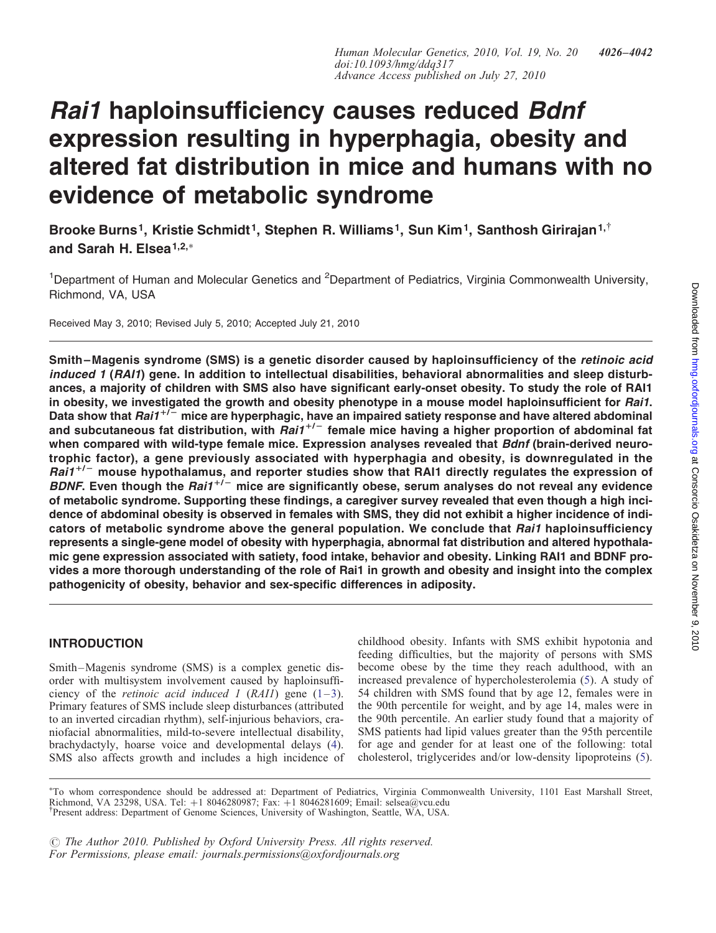# **Rai1 haploinsufficiency causes reduced Bdnf** expression resulting in hyperphagia, obesity and altered fat distribution in mice and humans with no evidence of metabolic syndrome

Brooke Burns<sup>1</sup>, Kristie Schmidt<sup>1</sup>, Stephen R. Williams<sup>1</sup>, Sun Kim<sup>1</sup>, Santhosh Girirajan<sup>1,†</sup> and Sarah H. Elsea<sup>1,2,∗</sup>

<sup>1</sup>Department of Human and Molecular Genetics and <sup>2</sup>Department of Pediatrics, Virginia Commonwealth University, Richmond, VA, USA

Received May 3, 2010; Revised July 5, 2010; Accepted July 21, 2010

Smith–Magenis syndrome (SMS) is a genetic disorder caused by haploinsufficiency of the *retinoic acid* induced 1 (RAI1) gene. In addition to intellectual disabilities, behavioral abnormalities and sleep disturbances, a majority of children with SMS also have significant early-onset obesity. To study the role of RAI1 in obesity, we investigated the growth and obesity phenotype in a mouse model haploinsufficient for Rai1. Data show that  $Rai1^{1/-}$  mice are hyperphagic, have an impaired satiety response and have altered abdominal and subcutaneous fat distribution, with *Rai1<sup>+/-</sup>* female mice having a higher proportion of abdominal fat when compared with wild-type female mice. Expression analyses revealed that Bdnf (brain-derived neurotrophic factor), a gene previously associated with hyperphagia and obesity, is downregulated in the  $\textit{Rai1}^{+/-}$  mouse hypothalamus, and reporter studies show that RAI1 directly regulates the expression of BDNF. Even though the Rai1<sup>+/-</sup> mice are significantly obese, serum analyses do not reveal any evidence of metabolic syndrome. Supporting these findings, a caregiver survey revealed that even though a high incidence of abdominal obesity is observed in females with SMS, they did not exhibit a higher incidence of indicators of metabolic syndrome above the general population. We conclude that Rai1 haploinsufficiency represents a single-gene model of obesity with hyperphagia, abnormal fat distribution and altered hypothalamic gene expression associated with satiety, food intake, behavior and obesity. Linking RAI1 and BDNF provides a more thorough understanding of the role of Rai1 in growth and obesity and insight into the complex pathogenicity of obesity, behavior and sex-specific differences in adiposity.

# INTRODUCTION

Smith–Magenis syndrome (SMS) is a complex genetic disorder with multisystem involvement caused by haploinsufficiency of the *retinoic acid induced 1 (RAI1)* gene  $(1-3)$  $(1-3)$  $(1-3)$  $(1-3)$ . Primary features of SMS include sleep disturbances (attributed to an inverted circadian rhythm), self-injurious behaviors, craniofacial abnormalities, mild-to-severe intellectual disability, brachydactyly, hoarse voice and developmental delays [\(4](#page-14-0)). SMS also affects growth and includes a high incidence of

childhood obesity. Infants with SMS exhibit hypotonia and feeding difficulties, but the majority of persons with SMS become obese by the time they reach adulthood, with an increased prevalence of hypercholesterolemia ([5\)](#page-14-0). A study of 54 children with SMS found that by age 12, females were in the 90th percentile for weight, and by age 14, males were in the 90th percentile. An earlier study found that a majority of SMS patients had lipid values greater than the 95th percentile for age and gender for at least one of the following: total cholesterol, triglycerides and/or low-density lipoproteins [\(5](#page-14-0)).

† Present address: Department of Genome Sciences, University of Washington, Seattle, WA, USA. ∗ To whom correspondence should be addressed at: Department of Pediatrics, Virginia Commonwealth University, 1101 East Marshall Street, Richmond, VA 23298, USA. Tel:  $+1$  8046280987; Fax:  $+1$  8046281609; Email: selsea@vcu.edu

 $\odot$  The Author 2010. Published by Oxford University Press. All rights reserved. For Permissions, please email: journals.permissions@oxfordjournals.org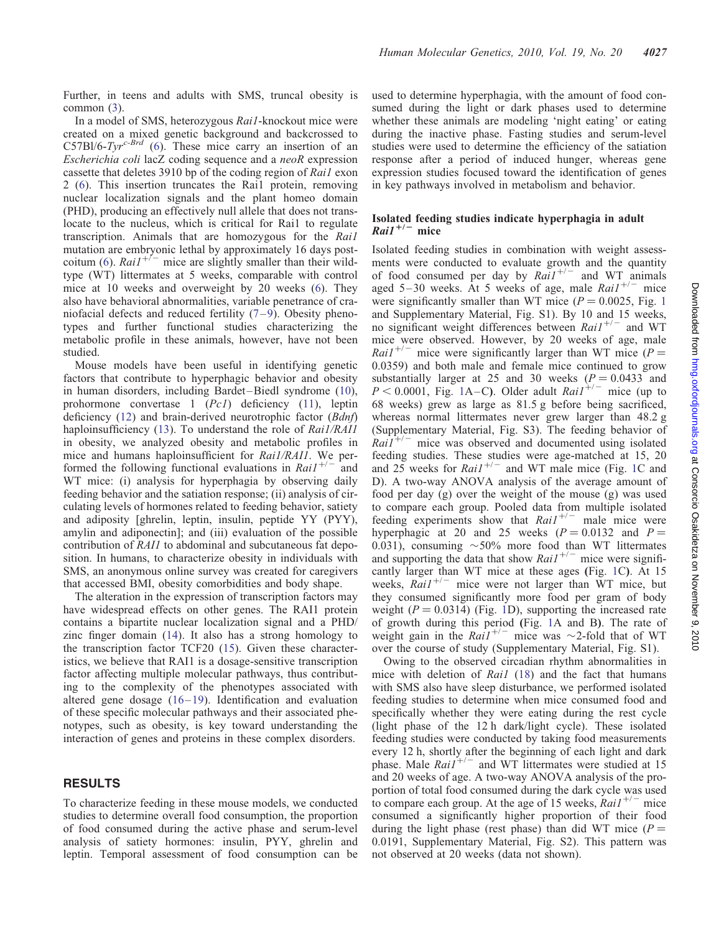Further, in teens and adults with SMS, truncal obesity is common ([3\)](#page-14-0).

In a model of SMS, heterozygous Rai1-knockout mice were created on a mixed genetic background and backcrossed to C57Bl/6-Tyr<sup>c-Brd</sup> [\(6](#page-14-0)). These mice carry an insertion of an Escherichia coli lacZ coding sequence and a neoR expression cassette that deletes 3910 bp of the coding region of Rai1 exon 2 ([6\)](#page-14-0). This insertion truncates the Rai1 protein, removing nuclear localization signals and the plant homeo domain (PHD), producing an effectively null allele that does not translocate to the nucleus, which is critical for Rai1 to regulate transcription. Animals that are homozygous for the Rail mutation are embryonic lethal by approximately 16 days post-coitum [\(6](#page-14-0)).  $Rail^{+/-}$  mice are slightly smaller than their wildtype (WT) littermates at 5 weeks, comparable with control mice at 10 weeks and overweight by 20 weeks [\(6](#page-14-0)). They also have behavioral abnormalities, variable penetrance of craniofacial defects and reduced fertility ([7](#page-14-0)–[9\)](#page-14-0). Obesity phenotypes and further functional studies characterizing the metabolic profile in these animals, however, have not been studied.

Mouse models have been useful in identifying genetic factors that contribute to hyperphagic behavior and obesity in human disorders, including Bardet–Biedl syndrome [\(10](#page-14-0)), prohormone convertase 1 (Pc1) deficiency ([11](#page-14-0)), leptin deficiency ([12\)](#page-14-0) and brain-derived neurotrophic factor (*Bdnf*) haploinsufficiency [\(13](#page-14-0)). To understand the role of *Rai1/RAI1* in obesity, we analyzed obesity and metabolic profiles in mice and humans haploinsufficient for Rai1/RAI1. We performed the following functional evaluations in  $Rai1^{+/-}$  and WT mice: (i) analysis for hyperphagia by observing daily feeding behavior and the satiation response; (ii) analysis of circulating levels of hormones related to feeding behavior, satiety and adiposity [ghrelin, leptin, insulin, peptide YY (PYY), amylin and adiponectin]; and (iii) evaluation of the possible contribution of RAI1 to abdominal and subcutaneous fat deposition. In humans, to characterize obesity in individuals with SMS, an anonymous online survey was created for caregivers that accessed BMI, obesity comorbidities and body shape.

The alteration in the expression of transcription factors may have widespread effects on other genes. The RAI1 protein contains a bipartite nuclear localization signal and a PHD/ zinc finger domain [\(14](#page-14-0)). It also has a strong homology to the transcription factor TCF20 ([15\)](#page-14-0). Given these characteristics, we believe that RAI1 is a dosage-sensitive transcription factor affecting multiple molecular pathways, thus contributing to the complexity of the phenotypes associated with altered gene dosage [\(16](#page-14-0)–[19](#page-15-0)). Identification and evaluation of these specific molecular pathways and their associated phenotypes, such as obesity, is key toward understanding the interaction of genes and proteins in these complex disorders.

## RESULTS

To characterize feeding in these mouse models, we conducted studies to determine overall food consumption, the proportion of food consumed during the active phase and serum-level analysis of satiety hormones: insulin, PYY, ghrelin and leptin. Temporal assessment of food consumption can be

used to determine hyperphagia, with the amount of food consumed during the light or dark phases used to determine whether these animals are modeling 'night eating' or eating during the inactive phase. Fasting studies and serum-level studies were used to determine the efficiency of the satiation response after a period of induced hunger, whereas gene expression studies focused toward the identification of genes in key pathways involved in metabolism and behavior.

## Isolated feeding studies indicate hyperphagia in adult  $Rail^{+/-}$  mice

Isolated feeding studies in combination with weight assessments were conducted to evaluate growth and the quantity of food consumed per day by  $Rain^{+/-}$  and WT animals aged 5–30 weeks. At 5 weeks of age, male  $RaiI^{+/-}$  mice were significantly smaller than WT mice ( $P = 0.0025$ , Fig. [1](#page-2-0)) and [Supplementary Material, Fig. S1](http://hmg.oxfordjournals.org/cgi/content/full/ddq317/DC1)). By 10 and 15 weeks, no significant weight differences between  $RaiI^{+/-}$  and WT mice were observed. However, by 20 weeks of age, male  $Rail^{+/-}$  mice were significantly larger than WT mice (P = 0.0359) and both male and female mice continued to grow substantially larger at 25 and 30 weeks  $(P = 0.0433$  and  $P < 0.0001$  $P < 0.0001$ , Fig. 1A–C). Older adult  $RaiI^{+/-}$  mice (up to 68 weeks) grew as large as 81.5 g before being sacrificed, whereas normal littermates never grew larger than 48.2 g [\(Supplementary Material, Fig. S3\)](http://hmg.oxfordjournals.org/cgi/content/full/ddq317/DC1). The feeding behavior of  $Rail^{+/-}$  mice was observed and documented using isolated feeding studies. These studies were age-matched at 15, 20 and 25 weeks for  $Rai1^{+/-}$  $Rai1^{+/-}$  $Rai1^{+/-}$  and WT male mice (Fig. 1C and D). A two-way ANOVA analysis of the average amount of food per day (g) over the weight of the mouse (g) was used to compare each group. Pooled data from multiple isolated feeding experiments show that  $Rai1^{+/-}$  male mice were hyperphagic at 20 and 25 weeks  $(P = 0.0132$  and  $P =$ 0.031), consuming  $\sim$  50% more food than WT littermates and supporting the data that show  $Rai1^{+/-}$  mice were significantly larger than WT mice at these ages (Fig. [1C](#page-2-0)). At 15 weeks,  $Rain^{i1+/-}$  mice were not larger than WT mice, but they consumed significantly more food per gram of body weight ( $P = 0.0314$ ) (Fig. [1D](#page-2-0)), supporting the increased rate of growth during this period (Fig. [1](#page-2-0)A and B). The rate of weight gain in the  $Rain^{+/-}$  mice was  $\sim$ 2-fold that of WT over the course of study [\(Supplementary Material, Fig. S1](http://hmg.oxfordjournals.org/cgi/content/full/ddq317/DC1)).

Owing to the observed circadian rhythm abnormalities in mice with deletion of Rail [\(18](#page-15-0)) and the fact that humans with SMS also have sleep disturbance, we performed isolated feeding studies to determine when mice consumed food and specifically whether they were eating during the rest cycle (light phase of the 12 h dark/light cycle). These isolated feeding studies were conducted by taking food measurements every 12 h, shortly after the beginning of each light and dark phase. Male  $RaiI^{+/-}$  and WT littermates were studied at 15 and 20 weeks of age. A two-way ANOVA analysis of the proportion of total food consumed during the dark cycle was used to compare each group. At the age of 15 weeks,  $Rail^{+/-}$  mice consumed a significantly higher proportion of their food during the light phase (rest phase) than did WT mice ( $P =$ 0.0191, [Supplementary Material, Fig. S2\)](http://hmg.oxfordjournals.org/cgi/content/full/ddq317/DC1). This pattern was not observed at 20 weeks (data not shown).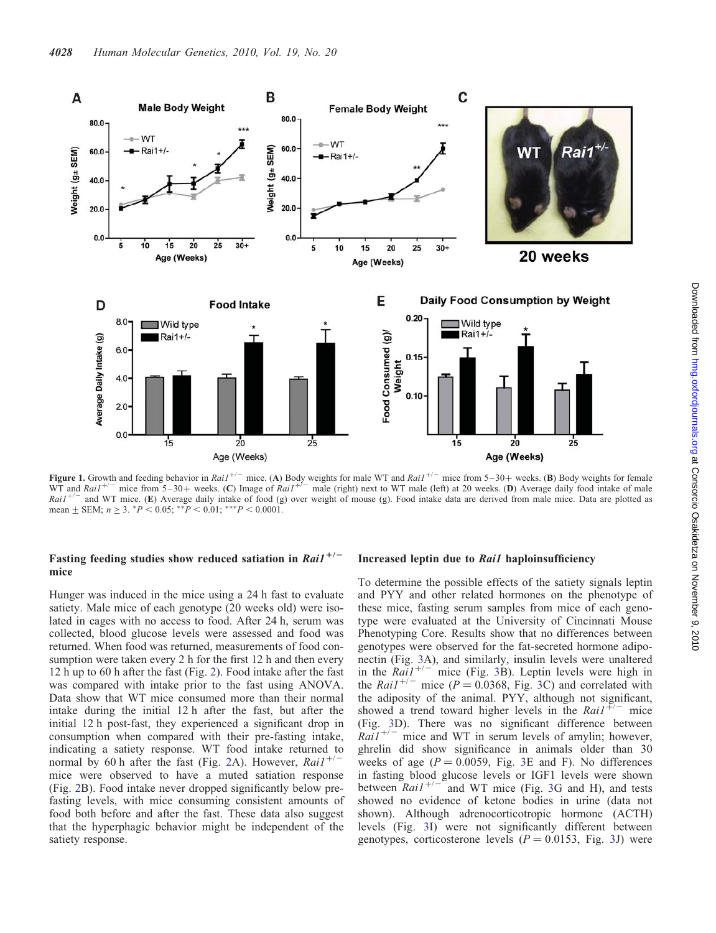<span id="page-2-0"></span>

Figure 1. Growth and feeding behavior in Rail<sup>+/-</sup> mice. (A) Body weights for male WT and Rail<sup>+/-</sup> mice from 5–30+ weeks. (B) Body weights for female WT and Rai1<sup>+/-</sup> mice from 5–30+ weeks. (C) Image of Rai1<sup>+/-</sup> male (right) next to WT male (left) at 20 weeks. (D) Average daily food intake of male  $Rail^{+/-}$  and WT mice. (E) Average daily intake of food (g) over weight of mouse (g). Food intake data are derived from male mice. Data are plotted as mean  $\pm$  SEM;  $n \ge 3$ .  $*P < 0.05$ ;  $**P < 0.01$ ;  $**P < 0.0001$ .

## Fasting feeding studies show reduced satiation in  $Rail^{+/-}$ mice

Hunger was induced in the mice using a 24 h fast to evaluate satiety. Male mice of each genotype (20 weeks old) were isolated in cages with no access to food. After 24 h, serum was collected, blood glucose levels were assessed and food was returned. When food was returned, measurements of food consumption were taken every 2 h for the first 12 h and then every 12 h up to 60 h after the fast (Fig. [2\)](#page-3-0). Food intake after the fast was compared with intake prior to the fast using ANOVA. Data show that WT mice consumed more than their normal intake during the initial 12 h after the fast, but after the initial 12 h post-fast, they experienced a significant drop in consumption when compared with their pre-fasting intake, indicating a satiety response. WT food intake returned to normal by 60 h after the fast (Fig. [2](#page-3-0)A). However,  $Rai1^{+/-}$ mice were observed to have a muted satiation response (Fig. [2](#page-3-0)B). Food intake never dropped significantly below prefasting levels, with mice consuming consistent amounts of food both before and after the fast. These data also suggest that the hyperphagic behavior might be independent of the satiety response.

#### Increased leptin due to Rai1 haploinsufficiency

To determine the possible effects of the satiety signals leptin and PYY and other related hormones on the phenotype of these mice, fasting serum samples from mice of each genotype were evaluated at the University of Cincinnati Mouse Phenotyping Core. Results show that no differences between genotypes were observed for the fat-secreted hormone adiponectin (Fig. [3](#page-4-0)A), and similarly, insulin levels were unaltered in the  $RaiI^{+/-}$  mice (Fig. [3B](#page-4-0)). Leptin levels were high in the Rail<sup>+/-</sup> mice ( $P = 0.0368$  $P = 0.0368$  $P = 0.0368$ , Fig. 3C) and correlated with the adiposity of the animal. PYY, although not significant, showed a trend toward higher levels in the  $Rai1^{+/-}$  mice (Fig. [3](#page-4-0)D). There was no significant difference between  $Rai1^{+/-}$  mice and WT in serum levels of amylin; however, ghrelin did show significance in animals older than 30 weeks of age ( $P = 0.0059$ , Fig. [3](#page-4-0)E and F). No differences in fasting blood glucose levels or IGF1 levels were shown between  $RaiI^{+/-}$  and WT mice (Fig. [3G](#page-4-0) and H), and tests showed no evidence of ketone bodies in urine (data not shown). Although adrenocorticotropic hormone (ACTH) levels (Fig. [3](#page-4-0)I) were not significantly different between genotypes, corticosterone levels  $(P = 0.0153, \text{ Fig. 3J})$  $(P = 0.0153, \text{ Fig. 3J})$  $(P = 0.0153, \text{ Fig. 3J})$  were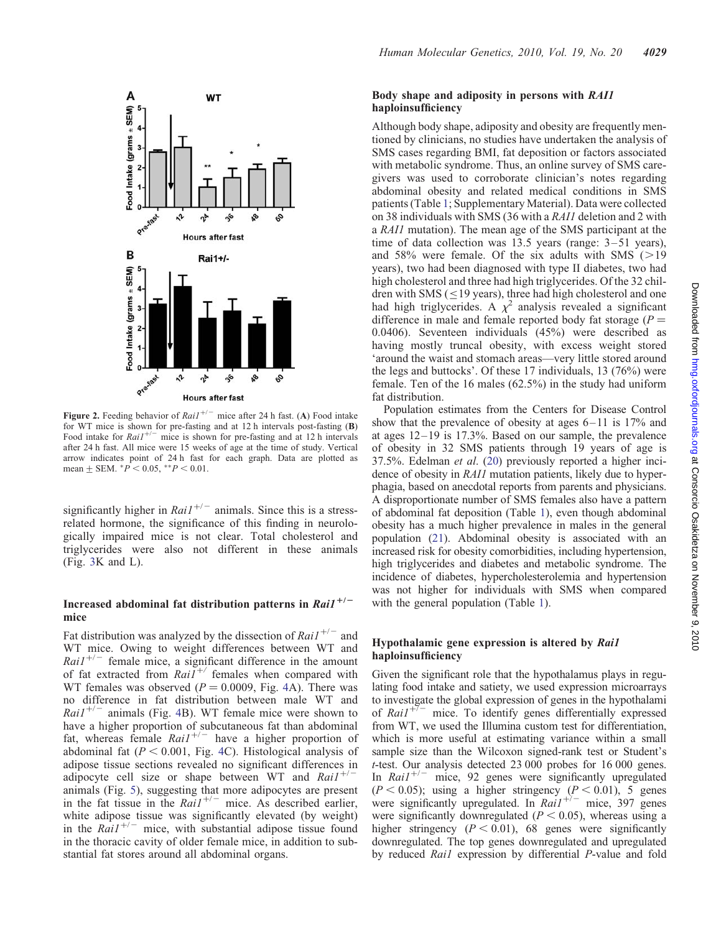<span id="page-3-0"></span>

**Figure 2.** Feeding behavior of  $Rail^{+/-}$  mice after 24 h fast. (A) Food intake for WT mice is shown for pre-fasting and at 12 h intervals post-fasting (B) Food intake for  $Rail^{+/-}$  mice is shown for pre-fasting and at 12 h intervals after 24 h fast. All mice were 15 weeks of age at the time of study. Vertical arrow indicates point of 24 h fast for each graph. Data are plotted as mean  $\pm$  SEM.  $*P < 0.05$ ,  $*P < 0.01$ .

significantly higher in  $Rai1^{+/-}$  animals. Since this is a stressrelated hormone, the significance of this finding in neurologically impaired mice is not clear. Total cholesterol and triglycerides were also not different in these animals (Fig. [3K](#page-4-0) and L).

# Increased abdominal fat distribution patterns in  $Rail^{+/-}$ mice

Fat distribution was analyzed by the dissection of  $Rai1^{+/-}$  and WT mice. Owing to weight differences between WT and  $Rail^{+/-}$  female mice, a significant difference in the amount of fat extracted from  $RaiI^{+/-}$  females when compared with WT females was observed  $(P = 0.0009,$  Fig. [4A](#page-5-0)). There was no difference in fat distribution between male WT and  $Rail^{+/-}$  animals (Fig. [4](#page-5-0)B). WT female mice were shown to have a higher proportion of subcutaneous fat than abdominal fat, whereas female  $Rai1^{+/-}$  have a higher proportion of abdominal fat ( $P < 0.001$ , Fig. [4C](#page-5-0)). Histological analysis of adipose tissue sections revealed no significant differences in adipocyte cell size or shape between WT and  $Rai1^{+/-}$ animals (Fig. [5](#page-5-0)), suggesting that more adipocytes are present in the fat tissue in the  $Rai1^{+/-}$  mice. As described earlier, white adipose tissue was significantly elevated (by weight) in the  $Rail^{+/-}$  mice, with substantial adipose tissue found in the thoracic cavity of older female mice, in addition to substantial fat stores around all abdominal organs.

# Body shape and adiposity in persons with RAI1 haploinsufficiency

Although body shape, adiposity and obesity are frequently mentioned by clinicians, no studies have undertaken the analysis of SMS cases regarding BMI, fat deposition or factors associated with metabolic syndrome. Thus, an online survey of SMS caregivers was used to corroborate clinician's notes regarding abdominal obesity and related medical conditions in SMS patients (Table 1; [Supplementary Material\)](http://hmg.oxfordjournals.org/cgi/content/full/ddq317/DC1). Data were collected on 38 individuals with SMS (36 with a RAI1 deletion and 2 with a RAI1 mutation). The mean age of the SMS participant at the time of data collection was 13.5 years (range: 3–51 years), and 58% were female. Of the six adults with SMS  $(>19)$ years), two had been diagnosed with type II diabetes, two had high cholesterol and three had high triglycerides. Of the 32 children with SMS ( $\leq$ 19 years), three had high cholesterol and one had high triglycerides. A  $\chi^2$  analysis revealed a significant difference in male and female reported body fat storage  $(P =$ 0.0406). Seventeen individuals (45%) were described as having mostly truncal obesity, with excess weight stored 'around the waist and stomach areas—very little stored around the legs and buttocks'. Of these 17 individuals, 13 (76%) were female. Ten of the 16 males (62.5%) in the study had uniform fat distribution.

Population estimates from the Centers for Disease Control show that the prevalence of obesity at ages 6–11 is 17% and at ages 12–19 is 17.3%. Based on our sample, the prevalence of obesity in 32 SMS patients through 19 years of age is 37.5%. Edelman et al. [\(20](#page-15-0)) previously reported a higher incidence of obesity in RAI1 mutation patients, likely due to hyperphagia, based on anecdotal reports from parents and physicians. A disproportionate number of SMS females also have a pattern of abdominal fat deposition (Table 1), even though abdominal obesity has a much higher prevalence in males in the general population ([21](#page-15-0)). Abdominal obesity is associated with an increased risk for obesity comorbidities, including hypertension, high triglycerides and diabetes and metabolic syndrome. The incidence of diabetes, hypercholesterolemia and hypertension was not higher for individuals with SMS when compared with the general population (Table 1).

## Hypothalamic gene expression is altered by Rai1 haploinsufficiency

Given the significant role that the hypothalamus plays in regulating food intake and satiety, we used expression microarrays to investigate the global expression of genes in the hypothalami of  $Rail^{+/-}$  mice. To identify genes differentially expressed from WT, we used the Illumina custom test for differentiation, which is more useful at estimating variance within a small sample size than the Wilcoxon signed-rank test or Student's t-test. Our analysis detected 23 000 probes for 16 000 genes. In  $Rain<sup>+/-</sup>$  mice, 92 genes were significantly upregulated  $(P < 0.05)$ ; using a higher stringency  $(P < 0.01)$ , 5 genes were significantly upregulated. In  $Rain^{i1^{+/-}}$  mice, 397 genes were significantly downregulated ( $P < 0.05$ ), whereas using a higher stringency  $(P < 0.01)$ , 68 genes were significantly downregulated. The top genes downregulated and upregulated by reduced Rai1 expression by differential P-value and fold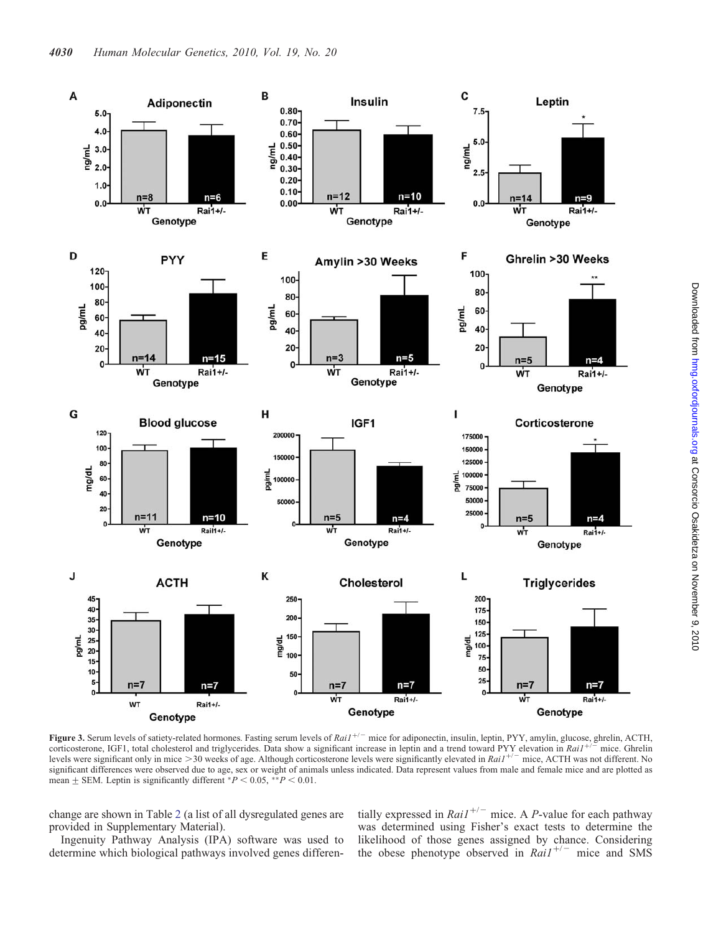<span id="page-4-0"></span>

**Figure 3.** Serum levels of satiety-related hormones. Fasting serum levels of  $Rail^{+/-}$  mice for adiponectin, insulin, leptin, PYY, amylin, glucose, ghrelin, ACTH, corticosterone, IGF1, total cholesterol and triglycerides. corticosterone, IGF1, total cholesterol and triglycerides. Data show a significant increase in leptin and a trend toward PYY elevation in  $Rail^{+/-}$ levels were significant only in mice  $>$ 30 weeks of age. Although corticosterone levels were significantly elevated in Rai1<sup>+/-</sup> mice, ACTH was not different. No significant differences were observed due to age, sex or weight of animals unless indicated. Data represent values from male and female mice and are plotted as mean  $\pm$  SEM. Leptin is significantly different \* $P < 0.05$ , \*\* $P < 0.01$ .

change are shown in Table 2 (a list of all dysregulated genes are provided in [Supplementary Material](http://hmg.oxfordjournals.org/cgi/content/full/ddq317/DC1)).

Ingenuity Pathway Analysis (IPA) software was used to determine which biological pathways involved genes differentially expressed in  $Rail^{+/-}$  mice. A P-value for each pathway was determined using Fisher's exact tests to determine the likelihood of those genes assigned by chance. Considering the obese phenotype observed in  $Rain^{i1^{+/-}}$  mice and SMS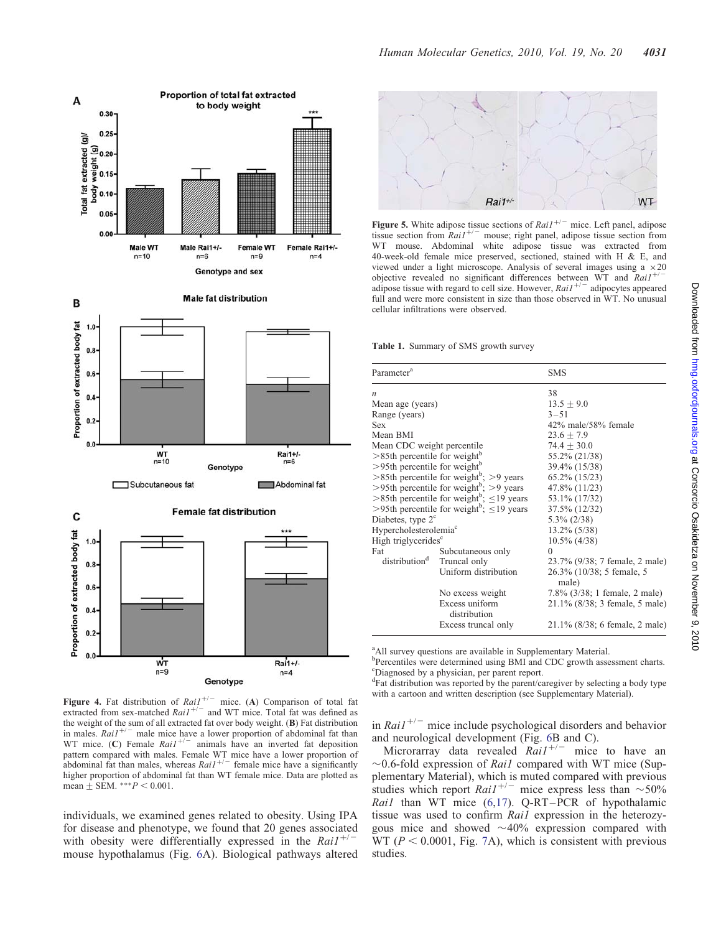<span id="page-5-0"></span>

Proportion of total fat extracted



Figure 4. Fat distribution of  $Rail^{+/-}$  mice. (A) Comparison of total fat extracted from sex-matched  $RaiI^{+/-}$  and WT mice. Total fat was defined as the weight of the sum of all extracted fat over body weight. (**B**) Fat distribution in males.  $RaiI^{+/-}$  male mice have a lower proportion of abdominal fat than WT mice. (C) Female  $Rai1^{+/-}$  animals have an inverted fat deposition pattern compared with males. Female WT mice have a lower proportion of abdominal fat than males, whereas  $RaiI^{+/-}$  female mice have a significantly higher proportion of abdominal fat than WT female mice. Data are plotted as mean + SEM.  $***P < 0.001$ .

individuals, we examined genes related to obesity. Using IPA for disease and phenotype, we found that 20 genes associated with obesity were differentially expressed in the  $Rai1^{+/2}$ mouse hypothalamus (Fig. [6](#page-7-0)A). Biological pathways altered



Figure 5. White adipose tissue sections of  $RaiI^{+/-}$  mice. Left panel, adipose tissue section from  $\hat{R}$ ai1<sup>+/-</sup> mouse; right panel, adipose tissue section from WT mouse. Abdominal white adipose tissue was extracted from 40-week-old female mice preserved, sectioned, stained with H & E, and viewed under a light microscope. Analysis of several images using a  $\times 20$ objective revealed no significant differences between WT and  $Rain^{+/-}$ adipose tissue with regard to cell size. However,  $RaiI^{+/-}$  adipocytes appeared full and were more consistent in size than those observed in WT. No unusual cellular infiltrations were observed.

Table 1. Summary of SMS growth survey

| Parameter <sup>a</sup>                      |                                                               | <b>SMS</b>                         |
|---------------------------------------------|---------------------------------------------------------------|------------------------------------|
| $\boldsymbol{n}$                            |                                                               | 38                                 |
| Mean age (years)                            |                                                               | $13.5 \pm 9.0$                     |
| Range (years)                               |                                                               | $3 - 51$                           |
| <b>Sex</b>                                  |                                                               | 42% male/58% female                |
| Mean BMI                                    |                                                               | $23.6 + 7.9$                       |
| Mean CDC weight percentile                  |                                                               | $74.4 + 30.0$                      |
| $>85$ th percentile for weight <sup>b</sup> |                                                               | 55.2% (21/38)                      |
| $>$ 95th percentile for weight <sup>b</sup> |                                                               | 39.4% (15/38)                      |
|                                             | $>85$ th percentile for weight <sup>b</sup> ; $>9$ years      | $65.2\%$ $(15/23)$                 |
|                                             | $>$ 95th percentile for weight <sup>b</sup> ; $>$ 9 years     | 47.8% (11/23)                      |
|                                             | $>$ 85th percentile for weight <sup>b</sup> ; $\leq$ 19 years | 53.1% (17/32)                      |
|                                             | >95th percentile for weight <sup>b</sup> ; $\leq$ 19 years    | 37.5% (12/32)                      |
| Diabetes, type 2 <sup>c</sup>               |                                                               | $5.3\%$ (2/38)                     |
| Hypercholesterolemia <sup>c</sup>           |                                                               | $13.2\%$ (5/38)                    |
| High triglycerides <sup>c</sup>             |                                                               | $10.5\%$ (4/38)                    |
| Fat                                         | Subcutaneous only                                             | $\Omega$                           |
| distribution <sup>d</sup>                   | Truncal only                                                  | 23.7% (9/38; 7 female, 2 male)     |
|                                             | Uniform distribution                                          | 26.3% (10/38; 5 female, 5<br>male) |
|                                             | No excess weight                                              | 7.8% (3/38; 1 female, 2 male)      |
|                                             | Excess uniform<br>distribution                                | 21.1% (8/38; 3 female, 5 male)     |
|                                             | Excess truncal only                                           | 21.1% (8/38; 6 female, 2 male)     |

<sup>a</sup> All survey questions are available in [Supplementary Material.](http://hmg.oxfordjournals.org/cgi/content/full/ddq317/DC1)

**b**Percentiles were determined using BMI and CDC growth assessment charts. c Diagnosed by a physician, per parent report.

<sup>d</sup>Fat distribution was reported by the parent/caregiver by selecting a body type with a cartoon and written description (see [Supplementary Material](http://hmg.oxfordjournals.org/cgi/content/full/ddq317/DC1)).

in  $Rain^{+/-}$  mice include psychological disorders and behavior and neurological development (Fig. [6](#page-7-0)B and C).

Microrarray data revealed  $Rai1^{+/-}$  mice to have an  $\sim$ 0.6-fold expression of *Rai1* compared with WT mice (Supplementary Material), which is muted compared with previous prememary *inauction*,  $m = 2$  mice express less than  $\sim 50\%$ <br>studies which report Rail<sup>+/2</sup> mice express less than  $\sim 50\%$ *Rai1* than WT mice  $(6,17)$  $(6,17)$  $(6,17)$  $(6,17)$ . Q-RT–PCR of hypothalamic tissue was used to confirm Rail expression in the heterozygous mice and showed  $\sim$ 40% expression compared with WT ( $P < 0.0001$ , Fig. [7](#page-8-0)A), which is consistent with previous studies.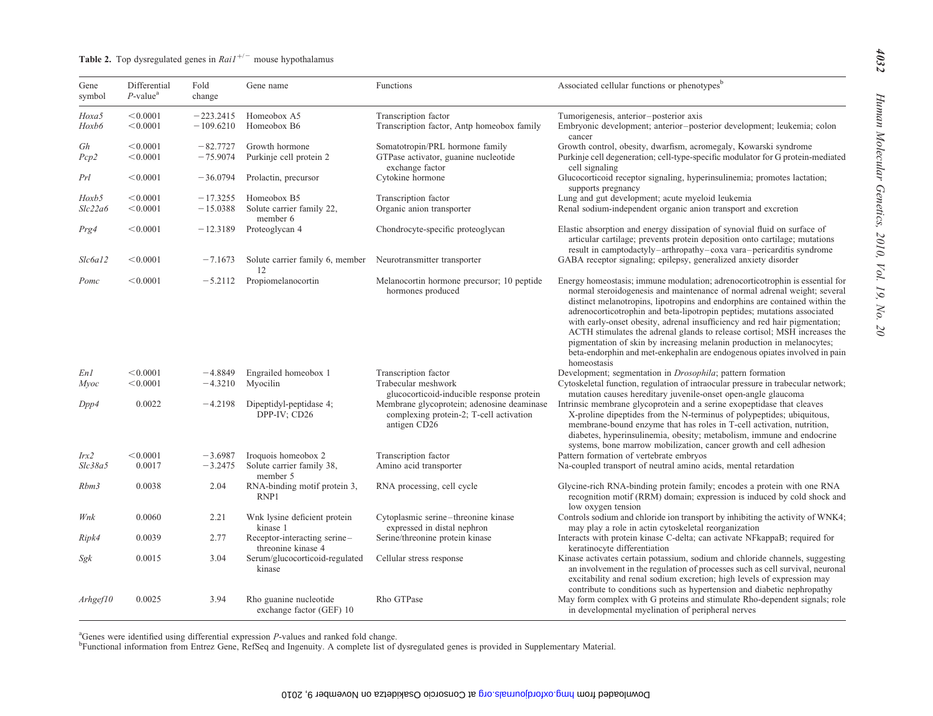#### **Table 2.** Top dysregulated genes in  $RaiI^{+/-}$  mouse hypothalamus

| Gene<br>symbol | Differential<br>$P$ -value <sup>a</sup> | Fold<br>change           | Gene name                                          | Functions                                                                                             | Associated cellular functions or phenotypes <sup>b</sup>                                                                                                                                                                                                                                                                                                                                                                                                                                                                                                                                                                                           |
|----------------|-----------------------------------------|--------------------------|----------------------------------------------------|-------------------------------------------------------------------------------------------------------|----------------------------------------------------------------------------------------------------------------------------------------------------------------------------------------------------------------------------------------------------------------------------------------------------------------------------------------------------------------------------------------------------------------------------------------------------------------------------------------------------------------------------------------------------------------------------------------------------------------------------------------------------|
| Hoxa5          | < 0.0001                                | $-223.2415$              | Homeobox A5                                        | Transcription factor                                                                                  | Tumorigenesis, anterior-posterior axis                                                                                                                                                                                                                                                                                                                                                                                                                                                                                                                                                                                                             |
| Hoxb6          | < 0.0001                                | $-109.6210$              | Homeobox B6                                        | Transcription factor, Antp homeobox family                                                            | Embryonic development; anterior-posterior development; leukemia; colon<br>cancer                                                                                                                                                                                                                                                                                                                                                                                                                                                                                                                                                                   |
| Gh<br>Pcp2     | < 0.0001<br>< 0.0001                    | $-82.7727$<br>$-75.9074$ | Growth hormone<br>Purkinje cell protein 2          | Somatotropin/PRL hormone family<br>GTPase activator, guanine nucleotide<br>exchange factor            | Growth control, obesity, dwarfism, acromegaly, Kowarski syndrome<br>Purkinje cell degeneration; cell-type-specific modulator for G protein-mediated<br>cell signaling                                                                                                                                                                                                                                                                                                                                                                                                                                                                              |
| Prl            | < 0.0001                                | $-36.0794$               | Prolactin, precursor                               | Cytokine hormone                                                                                      | Glucocorticoid receptor signaling, hyperinsulinemia; promotes lactation;<br>supports pregnancy                                                                                                                                                                                                                                                                                                                                                                                                                                                                                                                                                     |
| Hoxb5          | < 0.0001                                | $-17.3255$               | Homeobox B5                                        | Transcription factor                                                                                  | Lung and gut development; acute myeloid leukemia                                                                                                                                                                                                                                                                                                                                                                                                                                                                                                                                                                                                   |
| Slc22a6        | < 0.0001                                | $-15.0388$               | Solute carrier family 22,<br>member 6              | Organic anion transporter                                                                             | Renal sodium-independent organic anion transport and excretion                                                                                                                                                                                                                                                                                                                                                                                                                                                                                                                                                                                     |
| Prg4           | < 0.0001                                | $-12.3189$               | Proteoglycan 4                                     | Chondrocyte-specific proteoglycan                                                                     | Elastic absorption and energy dissipation of synovial fluid on surface of<br>articular cartilage; prevents protein deposition onto cartilage; mutations<br>result in camptodactyly-arthropathy-coxa vara-pericarditis syndrome                                                                                                                                                                                                                                                                                                                                                                                                                     |
| Slc6a12        | < 0.0001                                | $-7.1673$                | Solute carrier family 6, member<br>12              | Neurotransmitter transporter                                                                          | GABA receptor signaling; epilepsy, generalized anxiety disorder                                                                                                                                                                                                                                                                                                                                                                                                                                                                                                                                                                                    |
| Pomc           | < 0.0001                                | $-5.2112$                | Propiomelanocortin                                 | Melanocortin hormone precursor; 10 peptide<br>hormones produced                                       | Energy homeostasis; immune modulation; adrenocorticotrophin is essential for<br>normal steroidogenesis and maintenance of normal adrenal weight; several<br>distinct melanotropins, lipotropins and endorphins are contained within the<br>adrenocorticotrophin and beta-lipotropin peptides; mutations associated<br>with early-onset obesity, adrenal insufficiency and red hair pigmentation;<br>ACTH stimulates the adrenal glands to release cortisol; MSH increases the<br>pigmentation of skin by increasing melanin production in melanocytes;<br>beta-endorphin and met-enkephalin are endogenous opiates involved in pain<br>homeostasis |
| En1            | < 0.0001                                | $-4.8849$                | Engrailed homeobox 1                               | Transcription factor                                                                                  | Development; segmentation in Drosophila; pattern formation                                                                                                                                                                                                                                                                                                                                                                                                                                                                                                                                                                                         |
| Myoc           | < 0.0001                                | $-4.3210$                | Myocilin                                           | Trabecular meshwork<br>glucocorticoid-inducible response protein                                      | Cytoskeletal function, regulation of intraocular pressure in trabecular network;<br>mutation causes hereditary juvenile-onset open-angle glaucoma                                                                                                                                                                                                                                                                                                                                                                                                                                                                                                  |
| Dpp4           | 0.0022                                  | $-4.2198$                | Dipeptidyl-peptidase 4;<br>DPP-IV; CD26            | Membrane glycoprotein; adenosine deaminase<br>complexing protein-2; T-cell activation<br>antigen CD26 | Intrinsic membrane glycoprotein and a serine exopeptidase that cleaves<br>X-proline dipeptides from the N-terminus of polypeptides; ubiquitous,<br>membrane-bound enzyme that has roles in T-cell activation, nutrition,<br>diabetes, hyperinsulinemia, obesity; metabolism, immune and endocrine<br>systems, bone marrow mobilization, cancer growth and cell adhesion                                                                                                                                                                                                                                                                            |
| Irx2           | < 0.0001                                | $-3.6987$                | Iroquois homeobox 2                                | Transcription factor                                                                                  | Pattern formation of vertebrate embryos                                                                                                                                                                                                                                                                                                                                                                                                                                                                                                                                                                                                            |
| Slc38a5        | 0.0017                                  | $-3.2475$                | Solute carrier family 38,<br>member 5              | Amino acid transporter                                                                                | Na-coupled transport of neutral amino acids, mental retardation                                                                                                                                                                                                                                                                                                                                                                                                                                                                                                                                                                                    |
| Rbm3           | 0.0038                                  | 2.04                     | RNA-binding motif protein 3,<br>RNP1               | RNA processing, cell cycle                                                                            | Glycine-rich RNA-binding protein family; encodes a protein with one RNA<br>recognition motif (RRM) domain; expression is induced by cold shock and<br>low oxygen tension                                                                                                                                                                                                                                                                                                                                                                                                                                                                           |
| Wnk            | 0.0060                                  | 2.21                     | Wnk lysine deficient protein<br>kinase 1           | Cytoplasmic serine-threonine kinase<br>expressed in distal nephron                                    | Controls sodium and chloride ion transport by inhibiting the activity of WNK4;<br>may play a role in actin cytoskeletal reorganization                                                                                                                                                                                                                                                                                                                                                                                                                                                                                                             |
| Ripk4          | 0.0039                                  | 2.77                     | Receptor-interacting serine-<br>threonine kinase 4 | Serine/threonine protein kinase                                                                       | Interacts with protein kinase C-delta; can activate NFkappaB; required for<br>keratinocyte differentiation                                                                                                                                                                                                                                                                                                                                                                                                                                                                                                                                         |
| Sgk            | 0.0015                                  | 3.04                     | Serum/glucocorticoid-regulated<br>kinase           | Cellular stress response                                                                              | Kinase activates certain potassium, sodium and chloride channels, suggesting<br>an involvement in the regulation of processes such as cell survival, neuronal<br>excitability and renal sodium excretion; high levels of expression may<br>contribute to conditions such as hypertension and diabetic nephropathy                                                                                                                                                                                                                                                                                                                                  |
| Arhgefl0       | 0.0025                                  | 3.94                     | Rho guanine nucleotide<br>exchange factor (GEF) 10 | Rho GTPase                                                                                            | May form complex with G proteins and stimulate Rho-dependent signals; role<br>in developmental myelination of peripheral nerves                                                                                                                                                                                                                                                                                                                                                                                                                                                                                                                    |

<sup>a</sup>Genes were identified using differential expression P-values and ranked fold change.<br><sup>b</sup>Functional information from Entrez Gene, RefSeq and Ingenuity. A complete list of dysregulated genes is provided in [Supplementary](http://hmg.oxfordjournals.org/cgi/content/full/ddq317/DC1) M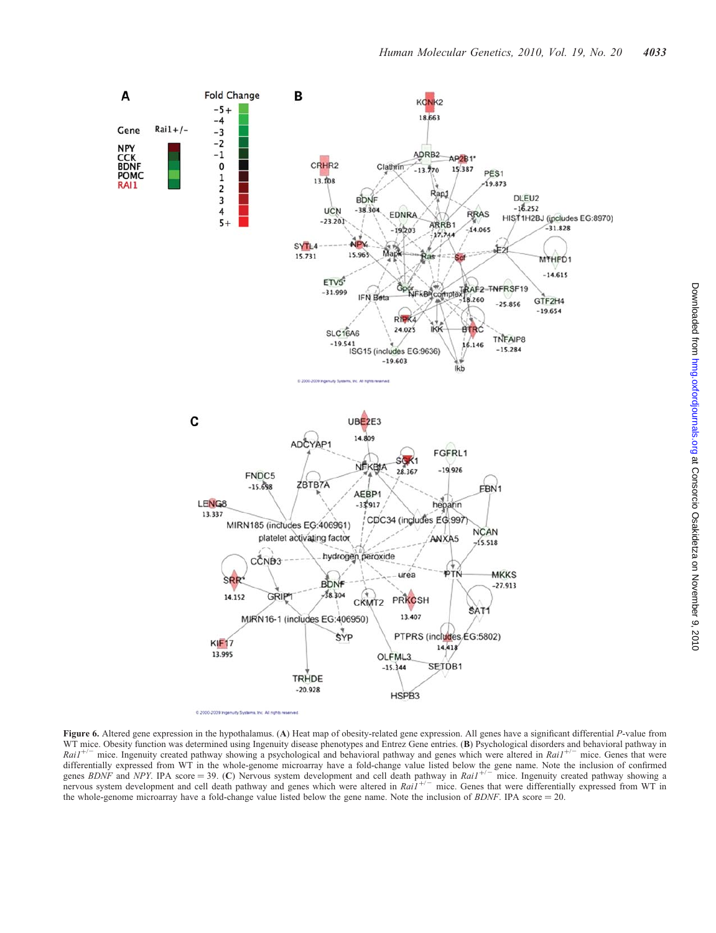<span id="page-7-0"></span>

Figure 6. Altered gene expression in the hypothalamus. (A) Heat map of obesity-related gene expression. All genes have a significant differential P-value from WT mice. Obesity function was determined using Ingenuity disease phenotypes and Entrez Gene entries. (B) Psychological disorders and behavioral pathway in  $Rai1^{+/-}$  mice. Ingenuity created pathway showing a psychological and behavioral pathway and genes which were altered in  $Rai1^{+/-}$  mice. Genes that were differentially expressed from WT in the whole-genome microarray have a fold-change value listed below the gene name. Note the inclusion of confirmed genes *BDNF* and *NPY*. IPA score = 39. (C) Nervous system development a nervous system development and cell death pathway and genes which were altered in  $Rai\dot{l}^{+/-}$  mice. Genes that were differentially expressed from WT in the whole-genome microarray have a fold-change value listed below the gene name. Note the inclusion of  $BDNF$ . IPA score  $= 20$ .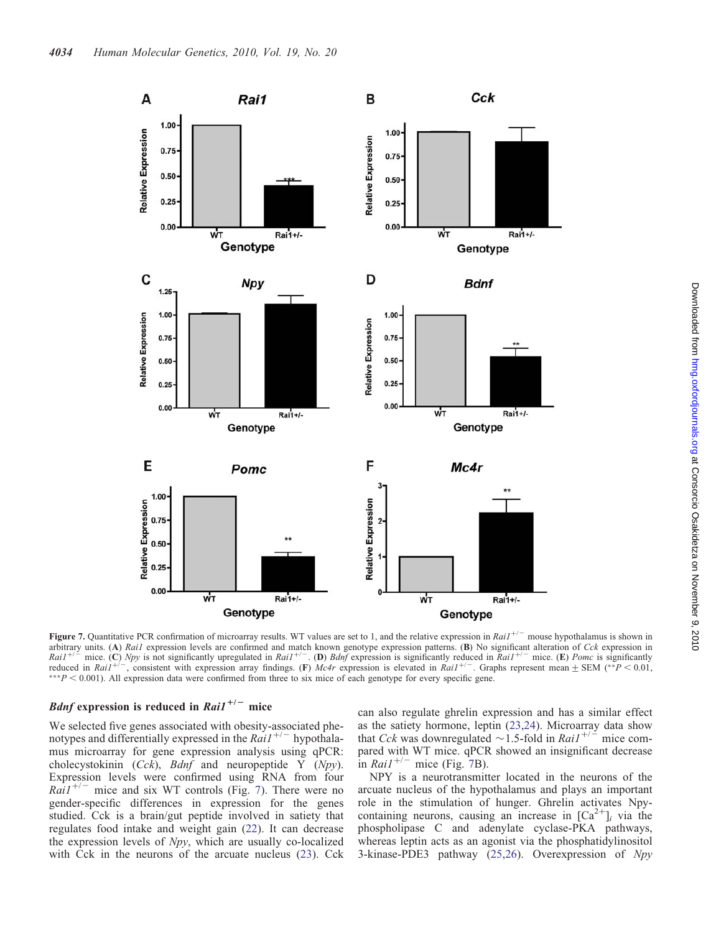<span id="page-8-0"></span>

Downloaded from hmg.oxfordjournals.org at Consorcio Osakidetza on November 9, 2010 Downloaded from [hmg.oxfordjournals.org](http://hmg.oxfordjournals.org/) at Consorcio Osakidetza on November 9, 2010

Figure 7. Quantitative PCR confirmation of microarray results. WT values are set to 1, and the relative expression in Rai1<sup>+/-</sup> mouse hypothalamus is shown in arbitrary units. (A) Rai1 expression levels are confirmed and match known genotype expression patterns. (B) No significant alteration of Cck expression in Rai1<sup>+/-</sup> mice. (C) Npy is not significantly upregulated in Rai1<sup>+</sup> mice. (C) Npy is not significantly upregulated in Rai1<sup>+/-</sup>. (D) Bdnf expression is significantly reduced in Rai1<sup>+/-</sup> mice. (E) Pomc is significantly reduced in Rai1<sup>+/-</sup>, consistent with expression array findings. (F) Mc4r expression is elevated in Rai1<sup>+/-</sup>. Graphs represent mean  $\pm$  SEM (\*\*P < 0.01,  $**P < 0.001$ ). All expression data were confirmed from three to six mice of each genotype for every specific gene.

# *Bdnf* expression is reduced in *Rai1*<sup>+/-</sup> mice

We selected five genes associated with obesity-associated phenotypes and differentially expressed in the  $Rai1^{+/-}$  hypothalamus microarray for gene expression analysis using qPCR: cholecystokinin  $(Cck)$ , *Bdnf* and neuropeptide Y  $(Npy)$ . Expression levels were confirmed using RNA from four  $Rai1^{+/-}$  mice and six WT controls (Fig. 7). There were no gender-specific differences in expression for the genes studied. Cck is a brain/gut peptide involved in satiety that regulates food intake and weight gain [\(22](#page-15-0)). It can decrease the expression levels of Npy, which are usually co-localized with Cck in the neurons of the arcuate nucleus ([23\)](#page-15-0). Cck

can also regulate ghrelin expression and has a similar effect as the satiety hormone, leptin ([23,24](#page-15-0)). Microarray data show that Cck was downregulated  $\sim$  1.5-fold in Rai1<sup>+/-</sup> mice compared with WT mice. qPCR showed an insignificant decrease in  $RaiI^{+/-}$  mice (Fig. 7B).

NPY is a neurotransmitter located in the neurons of the arcuate nucleus of the hypothalamus and plays an important role in the stimulation of hunger. Ghrelin activates Npycontaining neurons, causing an increase in  $[Ca^{2+}]_i$  via the phospholipase C and adenylate cyclase-PKA pathways, whereas leptin acts as an agonist via the phosphatidylinositol 3-kinase-PDE3 pathway  $(25,26)$  $(25,26)$  $(25,26)$ . Overexpression of Npy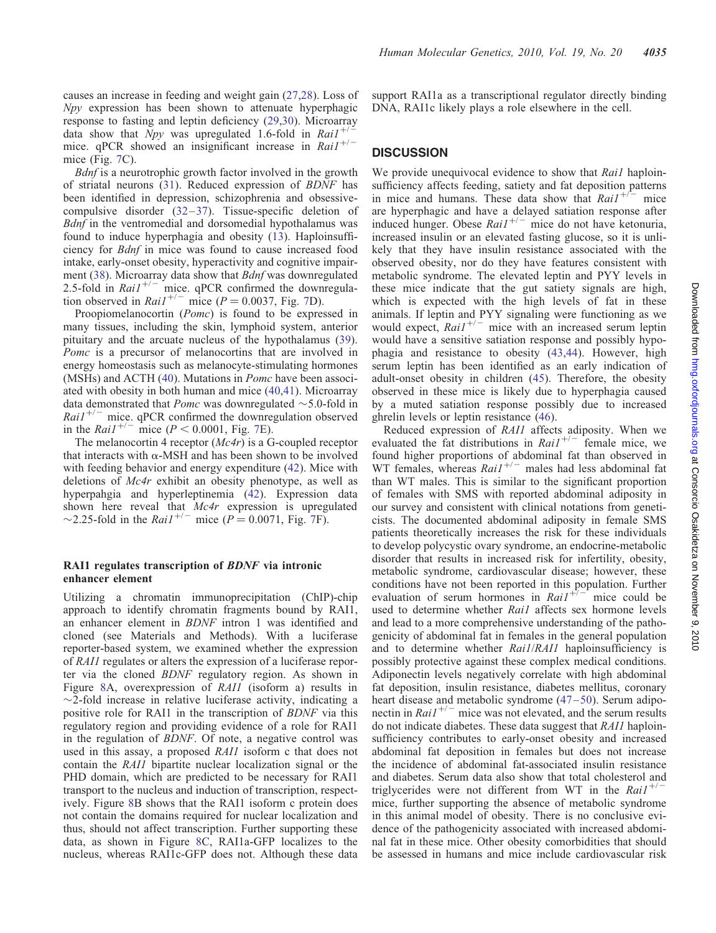causes an increase in feeding and weight gain ([27,28](#page-15-0)). Loss of Npy expression has been shown to attenuate hyperphagic response to fasting and leptin deficiency ([29,30](#page-15-0)). Microarray data show that Npy was upregulated 1.6-fold in Rail<sup>+/2</sup> mice. qPCR showed an insignificant increase in  $Rai1^{+/-}$ mice (Fig. [7](#page-8-0)C).

Bdnf is a neurotrophic growth factor involved in the growth of striatal neurons ([31\)](#page-15-0). Reduced expression of BDNF has been identified in depression, schizophrenia and obsessivecompulsive disorder ([32](#page-15-0)–[37\)](#page-15-0). Tissue-specific deletion of Bdnf in the ventromedial and dorsomedial hypothalamus was found to induce hyperphagia and obesity ([13\)](#page-14-0). Haploinsufficiency for Bdnf in mice was found to cause increased food intake, early-onset obesity, hyperactivity and cognitive impair-ment ([38](#page-15-0)). Microarray data show that *Bdnf* was downregulated 2.5-fold in  $Rai1^{+/-}$  mice. qPCR confirmed the downregulation observed in  $RaiI^{+/-}$  mice ( $P = 0.0037$  $P = 0.0037$ , Fig. 7D).

Proopiomelanocortin (Pomc) is found to be expressed in many tissues, including the skin, lymphoid system, anterior pituitary and the arcuate nucleus of the hypothalamus [\(39](#page-15-0)). Pomc is a precursor of melanocortins that are involved in energy homeostasis such as melanocyte-stimulating hormones (MSHs) and ACTH [\(40](#page-15-0)). Mutations in Pomc have been associated with obesity in both human and mice ([40,41](#page-15-0)). Microarray data demonstrated that *Pomc* was downregulated  $\sim$  5.0-fold in  $RaiI^{+/-}$  mice. qPCR confirmed the downregulation observed in the  $Rain^{+/-}$  mice ( $P < 0.0001$ , Fig. [7](#page-8-0)E).

The melanocortin 4 receptor  $(Mc4r)$  is a G-coupled receptor that interacts with  $\alpha$ -MSH and has been shown to be involved with feeding behavior and energy expenditure [\(42](#page-15-0)). Mice with deletions of Mc4r exhibit an obesity phenotype, as well as hyperpahgia and hyperleptinemia [\(42](#page-15-0)). Expression data shown here reveal that Mc4r expression is upregulated ~2.25-fold in the *Rai1*<sup>+/-</sup> mice (*P* = 0.00[7](#page-8-0)1, Fig. 7F).

## RAI1 regulates transcription of BDNF via intronic enhancer element

Utilizing a chromatin immunoprecipitation (ChIP)-chip approach to identify chromatin fragments bound by RAI1, an enhancer element in BDNF intron 1 was identified and cloned (see Materials and Methods). With a luciferase reporter-based system, we examined whether the expression of RAI1 regulates or alters the expression of a luciferase reporter via the cloned BDNF regulatory region. As shown in Figure [8A](#page-10-0), overexpression of RAI1 (isoform a) results in  $\sim$ 2-fold increase in relative luciferase activity, indicating a positive role for RAI1 in the transcription of BDNF via this regulatory region and providing evidence of a role for RAI1 in the regulation of BDNF. Of note, a negative control was used in this assay, a proposed RAI1 isoform c that does not contain the RAI1 bipartite nuclear localization signal or the PHD domain, which are predicted to be necessary for RAI1 transport to the nucleus and induction of transcription, respectively. Figure [8B](#page-10-0) shows that the RAI1 isoform c protein does not contain the domains required for nuclear localization and thus, should not affect transcription. Further supporting these data, as shown in Figure [8C](#page-10-0), RAI1a-GFP localizes to the nucleus, whereas RAI1c-GFP does not. Although these data

support RAI1a as a transcriptional regulator directly binding DNA, RAI1c likely plays a role elsewhere in the cell.

## **DISCUSSION**

We provide unequivocal evidence to show that Rail haploinsufficiency affects feeding, satiety and fat deposition patterns in mice and humans. These data show that  $RaiI^{+/-}$  mice are hyperphagic and have a delayed satiation response after induced hunger. Obese  $Rail^{+/-}$  mice do not have ketonuria, increased insulin or an elevated fasting glucose, so it is unlikely that they have insulin resistance associated with the observed obesity, nor do they have features consistent with metabolic syndrome. The elevated leptin and PYY levels in these mice indicate that the gut satiety signals are high, which is expected with the high levels of fat in these animals. If leptin and PYY signaling were functioning as we would expect,  $RaiI^{+/-}$  mice with an increased serum leptin would have a sensitive satiation response and possibly hypophagia and resistance to obesity ([43,44](#page-15-0)). However, high serum leptin has been identified as an early indication of adult-onset obesity in children ([45\)](#page-15-0). Therefore, the obesity observed in these mice is likely due to hyperphagia caused by a muted satiation response possibly due to increased ghrelin levels or leptin resistance ([46\)](#page-15-0).

Reduced expression of RAI1 affects adiposity. When we evaluated the fat distributions in  $Rain^{i+/-}$  female mice, we found higher proportions of abdominal fat than observed in WT females, whereas  $RaiI^{+/-}$  males had less abdominal fat than WT males. This is similar to the significant proportion of females with SMS with reported abdominal adiposity in our survey and consistent with clinical notations from geneticists. The documented abdominal adiposity in female SMS patients theoretically increases the risk for these individuals to develop polycystic ovary syndrome, an endocrine-metabolic disorder that results in increased risk for infertility, obesity, metabolic syndrome, cardiovascular disease; however, these conditions have not been reported in this population. Further evaluation of serum hormones in  $Rai1^{+/-}$  mice could be used to determine whether Rai1 affects sex hormone levels and lead to a more comprehensive understanding of the pathogenicity of abdominal fat in females in the general population and to determine whether Rai1/RAI1 haploinsufficiency is possibly protective against these complex medical conditions. Adiponectin levels negatively correlate with high abdominal fat deposition, insulin resistance, diabetes mellitus, coronary heart disease and metabolic syndrome [\(47](#page-15-0)–[50](#page-15-0)). Serum adiponectin in  $RaiI^{+/-}$  mice was not elevated, and the serum results do not indicate diabetes. These data suggest that RAI1 haploinsufficiency contributes to early-onset obesity and increased abdominal fat deposition in females but does not increase the incidence of abdominal fat-associated insulin resistance and diabetes. Serum data also show that total cholesterol and triglycerides were not different from WT in the  $Rail^{+/-}$ mice, further supporting the absence of metabolic syndrome in this animal model of obesity. There is no conclusive evidence of the pathogenicity associated with increased abdominal fat in these mice. Other obesity comorbidities that should be assessed in humans and mice include cardiovascular risk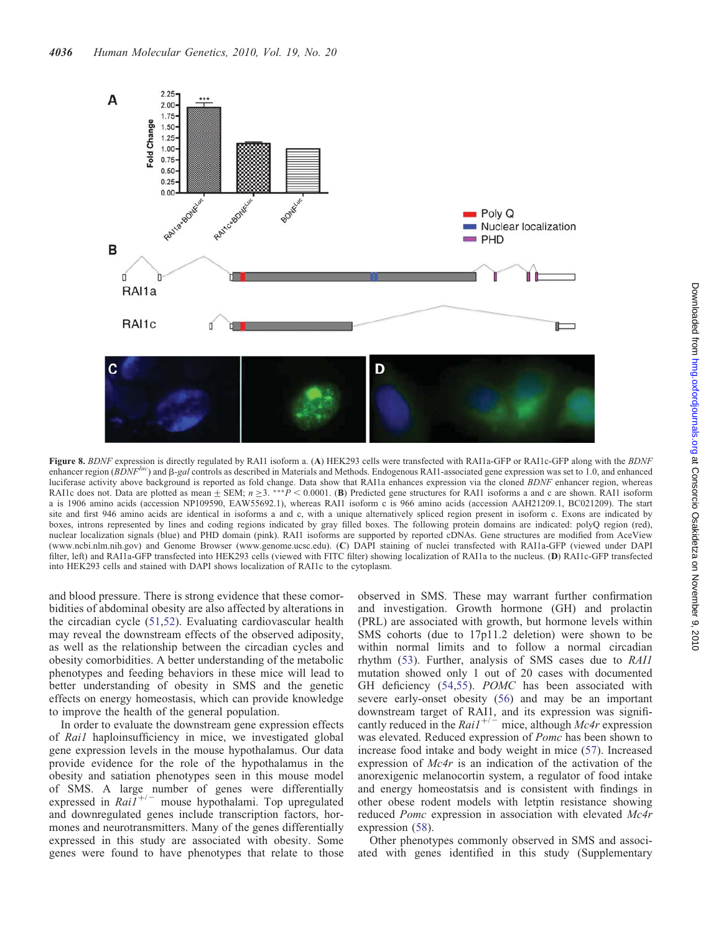<span id="page-10-0"></span>

Figure 8. BDNF expression is directly regulated by RAI1 isoform a. (A) HEK293 cells were transfected with RAI1a-GFP or RAI1c-GFP along with the BDNF enhancer region  $(B\hat{D}NF^{luc})$  and  $\beta$ -gal controls as described in Materials and Methods. Endogenous RAI1-associated gene expression was set to 1.0, and enhanced luciferase activity above background is reported as fold change. Data show that RAI1a enhances expression via the cloned BDNF enhancer region, whereas RAI1c does not. Data are plotted as mean  $\pm$  SEM;  $n \ge 3$ . \*\*\*P < 0.0001. (B) Predicted gene structures for RAI1 isoforms a and c are shown. RAI1 isoform a is 1906 amino acids (accession NP109590, EAW55692.1), whereas RAI1 isoform c is 966 amino acids (accession AAH21209.1, BC021209). The start site and first 946 amino acids are identical in isoforms a and c, with a unique alternatively spliced region present in isoform c. Exons are indicated by boxes, introns represented by lines and coding regions indicated by gray filled boxes. The following protein domains are indicated: polyQ region (red), nuclear localization signals (blue) and PHD domain (pink). RAI1 isoforms are supported by reported cDNAs. Gene structures are modified from AceView (www.ncbi.nlm.nih.gov) and Genome Browser (www.genome.ucsc.edu). (C) DAPI staining of nuclei transfected with RAI1a-GFP (viewed under DAPI filter, left) and RAI1a-GFP transfected into HEK293 cells (viewed with FITC filter) showing localization of RAI1a to the nucleus. (D) RAI1c-GFP transfected into HEK293 cells and stained with DAPI shows localization of RAI1c to the cytoplasm.

and blood pressure. There is strong evidence that these comorbidities of abdominal obesity are also affected by alterations in the circadian cycle [\(51](#page-15-0),[52\)](#page-15-0). Evaluating cardiovascular health may reveal the downstream effects of the observed adiposity, as well as the relationship between the circadian cycles and obesity comorbidities. A better understanding of the metabolic phenotypes and feeding behaviors in these mice will lead to better understanding of obesity in SMS and the genetic effects on energy homeostasis, which can provide knowledge to improve the health of the general population.

In order to evaluate the downstream gene expression effects of Rai1 haploinsufficiency in mice, we investigated global gene expression levels in the mouse hypothalamus. Our data provide evidence for the role of the hypothalamus in the obesity and satiation phenotypes seen in this mouse model of SMS. A large number of genes were differentially expressed in  $Rai\tilde{I}^{+/-}$  mouse hypothalami. Top upregulated and downregulated genes include transcription factors, hormones and neurotransmitters. Many of the genes differentially expressed in this study are associated with obesity. Some genes were found to have phenotypes that relate to those observed in SMS. These may warrant further confirmation and investigation. Growth hormone (GH) and prolactin (PRL) are associated with growth, but hormone levels within SMS cohorts (due to 17p11.2 deletion) were shown to be within normal limits and to follow a normal circadian rhythm ([53\)](#page-15-0). Further, analysis of SMS cases due to RAI1 mutation showed only 1 out of 20 cases with documented GH deficiency ([54,55](#page-15-0)). POMC has been associated with severe early-onset obesity ([56\)](#page-15-0) and may be an important downstream target of RAI1, and its expression was significantly reduced in the  $Rail^{+/-}$  mice, although  $Mc4r$  expression was elevated. Reduced expression of Pomc has been shown to increase food intake and body weight in mice [\(57](#page-16-0)). Increased expression of *Mc4r* is an indication of the activation of the anorexigenic melanocortin system, a regulator of food intake and energy homeostatsis and is consistent with findings in other obese rodent models with letptin resistance showing reduced Pomc expression in association with elevated Mc4r expression ([58\)](#page-16-0).

Other phenotypes commonly observed in SMS and associated with genes identified in this study [\(Supplementary](http://hmg.oxfordjournals.org/cgi/content/full/ddq317/DC1)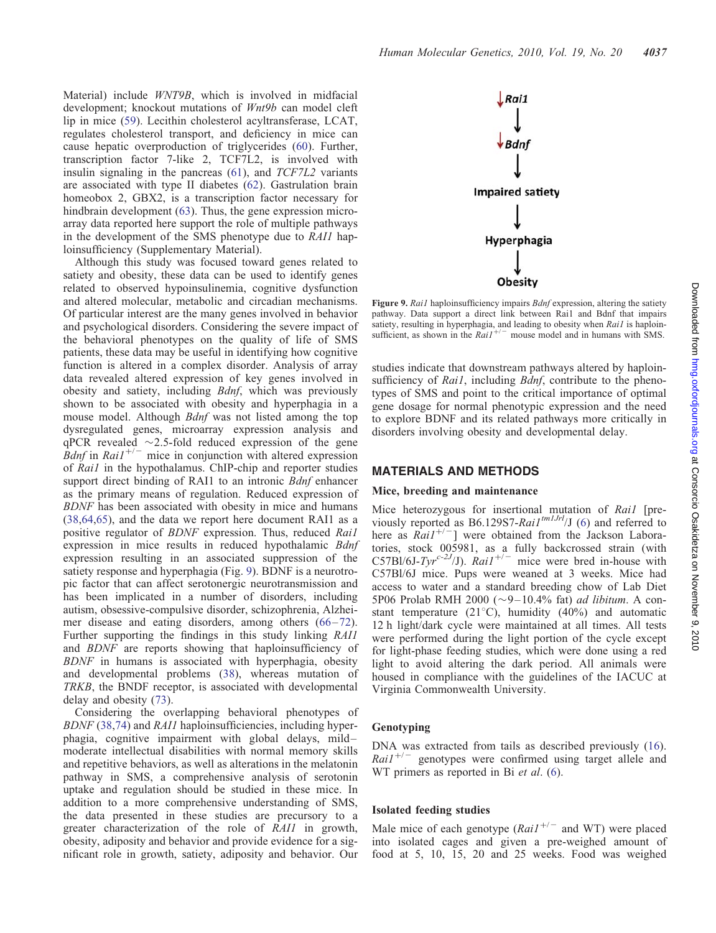[Material](http://hmg.oxfordjournals.org/cgi/content/full/ddq317/DC1)) include WNT9B, which is involved in midfacial development; knockout mutations of *Wnt9b* can model cleft lip in mice [\(59](#page-16-0)). Lecithin cholesterol acyltransferase, LCAT, regulates cholesterol transport, and deficiency in mice can cause hepatic overproduction of triglycerides [\(60](#page-16-0)). Further, transcription factor 7-like 2, TCF7L2, is involved with insulin signaling in the pancreas ([61](#page-16-0)), and TCF7L2 variants are associated with type II diabetes [\(62](#page-16-0)). Gastrulation brain homeobox 2, GBX2, is a transcription factor necessary for hindbrain development [\(63](#page-16-0)). Thus, the gene expression microarray data reported here support the role of multiple pathways in the development of the SMS phenotype due to RAI1 haploinsufficiency [\(Supplementary Material](http://hmg.oxfordjournals.org/cgi/content/full/ddq317/DC1)).

Although this study was focused toward genes related to satiety and obesity, these data can be used to identify genes related to observed hypoinsulinemia, cognitive dysfunction and altered molecular, metabolic and circadian mechanisms. Of particular interest are the many genes involved in behavior and psychological disorders. Considering the severe impact of the behavioral phenotypes on the quality of life of SMS patients, these data may be useful in identifying how cognitive function is altered in a complex disorder. Analysis of array data revealed altered expression of key genes involved in obesity and satiety, including Bdnf, which was previously shown to be associated with obesity and hyperphagia in a mouse model. Although Bdnf was not listed among the top dysregulated genes, microarray expression analysis and qPCR revealed  $\sim$ 2.5-fold reduced expression of the gene *Bdnf* in *Rai1*<sup>+/-</sup> mice in conjunction with altered expression of Rai1 in the hypothalamus. ChIP-chip and reporter studies support direct binding of RAI1 to an intronic *Bdnf* enhancer as the primary means of regulation. Reduced expression of BDNF has been associated with obesity in mice and humans [\(38](#page-15-0),[64,65](#page-16-0)), and the data we report here document RAI1 as a positive regulator of BDNF expression. Thus, reduced Rai1 expression in mice results in reduced hypothalamic Bdnf expression resulting in an associated suppression of the satiety response and hyperphagia (Fig. 9). BDNF is a neurotropic factor that can affect serotonergic neurotransmission and has been implicated in a number of disorders, including autism, obsessive-compulsive disorder, schizophrenia, Alzheimer disease and eating disorders, among others [\(66](#page-16-0)–[72](#page-16-0)). Further supporting the findings in this study linking RAI1 and BDNF are reports showing that haploinsufficiency of BDNF in humans is associated with hyperphagia, obesity and developmental problems ([38\)](#page-15-0), whereas mutation of TRKB, the BNDF receptor, is associated with developmental delay and obesity ([73\)](#page-16-0).

Considering the overlapping behavioral phenotypes of BDNF ([38](#page-15-0)[,74](#page-16-0)) and RAI1 haploinsufficiencies, including hyperphagia, cognitive impairment with global delays, mild– moderate intellectual disabilities with normal memory skills and repetitive behaviors, as well as alterations in the melatonin pathway in SMS, a comprehensive analysis of serotonin uptake and regulation should be studied in these mice. In addition to a more comprehensive understanding of SMS, the data presented in these studies are precursory to a greater characterization of the role of RAI1 in growth, obesity, adiposity and behavior and provide evidence for a significant role in growth, satiety, adiposity and behavior. Our



Figure 9. Rail haploinsufficiency impairs *Bdnf* expression, altering the satiety pathway. Data support a direct link between Rai1 and Bdnf that impairs satiety, resulting in hyperphagia, and leading to obesity when Rail is haploinsufficient, as shown in the  $Rail^{+/-}$  mouse model and in humans with SMS.

studies indicate that downstream pathways altered by haploinsufficiency of Rai1, including Bdnf, contribute to the phenotypes of SMS and point to the critical importance of optimal gene dosage for normal phenotypic expression and the need to explore BDNF and its related pathways more critically in disorders involving obesity and developmental delay.

## MATERIALS AND METHODS

#### Mice, breeding and maintenance

Mice heterozygous for insertional mutation of Rail [previously reported as  $B6.12987-Rai1<sup>tm1Jrl</sup>/J$  [\(6](#page-14-0)) and referred to here as  $\hat{R}aiI^{+/-}$ ] were obtained from the Jackson Laboratories, stock 005981, as a fully backcrossed strain (with C57Bl/6J-Tyr<sup>c-2J</sup>/J).  $RaiI^{+/-}$  mice were bred in-house with C57Bl/6J mice. Pups were weaned at 3 weeks. Mice had access to water and a standard breeding chow of Lab Diet 5P06 Prolab RMH 2000 ( $\sim$ 9-10.4% fat) *ad libitum*. A constant temperature  $(21^{\circ}C)$ , humidity  $(40\%)$  and automatic 12 h light/dark cycle were maintained at all times. All tests were performed during the light portion of the cycle except for light-phase feeding studies, which were done using a red light to avoid altering the dark period. All animals were housed in compliance with the guidelines of the IACUC at Virginia Commonwealth University.

## Genotyping

DNA was extracted from tails as described previously [\(16](#page-14-0)).  $Rai1^{+/-}$  genotypes were confirmed using target allele and WT primers as reported in Bi et al. [\(6](#page-14-0)).

## Isolated feeding studies

Male mice of each genotype  $(RaiI^{+/-})$  and WT) were placed into isolated cages and given a pre-weighed amount of food at 5, 10, 15, 20 and 25 weeks. Food was weighed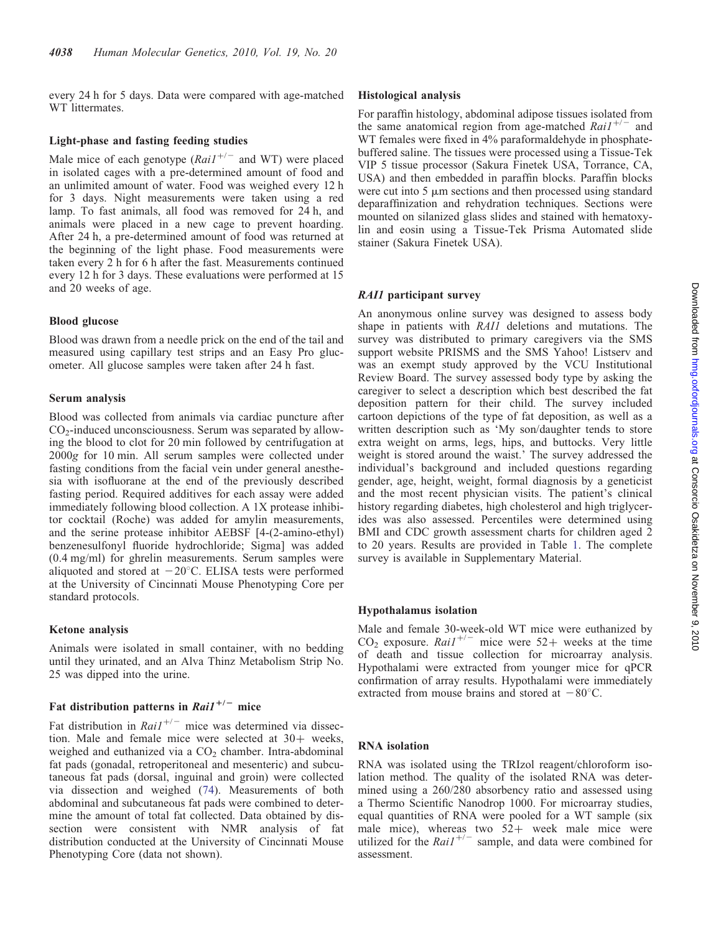every 24 h for 5 days. Data were compared with age-matched WT littermates.

#### Light-phase and fasting feeding studies

Male mice of each genotype  $(RaiI^{+/-})$  and WT) were placed in isolated cages with a pre-determined amount of food and an unlimited amount of water. Food was weighed every 12 h for 3 days. Night measurements were taken using a red lamp. To fast animals, all food was removed for 24 h, and animals were placed in a new cage to prevent hoarding. After 24 h, a pre-determined amount of food was returned at the beginning of the light phase. Food measurements were taken every 2 h for 6 h after the fast. Measurements continued every 12 h for 3 days. These evaluations were performed at 15 and 20 weeks of age.

## Blood glucose

Blood was drawn from a needle prick on the end of the tail and measured using capillary test strips and an Easy Pro glucometer. All glucose samples were taken after 24 h fast.

## Serum analysis

Blood was collected from animals via cardiac puncture after  $CO<sub>2</sub>$ -induced unconsciousness. Serum was separated by allowing the blood to clot for 20 min followed by centrifugation at 2000g for 10 min. All serum samples were collected under fasting conditions from the facial vein under general anesthesia with isofluorane at the end of the previously described fasting period. Required additives for each assay were added immediately following blood collection. A 1X protease inhibitor cocktail (Roche) was added for amylin measurements, and the serine protease inhibitor AEBSF [4-(2-amino-ethyl) benzenesulfonyl fluoride hydrochloride; Sigma] was added (0.4 mg/ml) for ghrelin measurements. Serum samples were aliquoted and stored at  $-20^{\circ}$ C. ELISA tests were performed at the University of Cincinnati Mouse Phenotyping Core per standard protocols.

#### Ketone analysis

Animals were isolated in small container, with no bedding until they urinated, and an Alva Thinz Metabolism Strip No. 25 was dipped into the urine.

# Fat distribution patterns in  $Rain^{+/-}$  mice

Fat distribution in  $Rain^{+/-}$  mice was determined via dissection. Male and female mice were selected at 30+ weeks, weighed and euthanized via a  $CO<sub>2</sub>$  chamber. Intra-abdominal fat pads (gonadal, retroperitoneal and mesenteric) and subcutaneous fat pads (dorsal, inguinal and groin) were collected via dissection and weighed [\(74](#page-16-0)). Measurements of both abdominal and subcutaneous fat pads were combined to determine the amount of total fat collected. Data obtained by dissection were consistent with NMR analysis of fat distribution conducted at the University of Cincinnati Mouse Phenotyping Core (data not shown).

#### Histological analysis

For paraffin histology, abdominal adipose tissues isolated from the same anatomical region from age-matched  $RaiI^{+/-}$  and WT females were fixed in 4% paraformaldehyde in phosphatebuffered saline. The tissues were processed using a Tissue-Tek VIP 5 tissue processor (Sakura Finetek USA, Torrance, CA, USA) and then embedded in paraffin blocks. Paraffin blocks were cut into  $5 \mu m$  sections and then processed using standard deparaffinization and rehydration techniques. Sections were mounted on silanized glass slides and stained with hematoxylin and eosin using a Tissue-Tek Prisma Automated slide stainer (Sakura Finetek USA).

## RAI1 participant survey

An anonymous online survey was designed to assess body shape in patients with RAI1 deletions and mutations. The survey was distributed to primary caregivers via the SMS support website PRISMS and the SMS Yahoo! Listserv and was an exempt study approved by the VCU Institutional Review Board. The survey assessed body type by asking the caregiver to select a description which best described the fat deposition pattern for their child. The survey included cartoon depictions of the type of fat deposition, as well as a written description such as 'My son/daughter tends to store extra weight on arms, legs, hips, and buttocks. Very little weight is stored around the waist.' The survey addressed the individual's background and included questions regarding gender, age, height, weight, formal diagnosis by a geneticist and the most recent physician visits. The patient's clinical history regarding diabetes, high cholesterol and high triglycerides was also assessed. Percentiles were determined using BMI and CDC growth assessment charts for children aged 2 to 20 years. Results are provided in Table [1](#page-3-0). The complete survey is available in [Supplementary Material](http://hmg.oxfordjournals.org/cgi/content/full/ddq317/DC1).

## Hypothalamus isolation

Male and female 30-week-old WT mice were euthanized by  $CO<sub>2</sub>$  exposure. Rai1<sup>+/-</sup> mice were 52+ weeks at the time of death and tissue collection for microarray analysis. Hypothalami were extracted from younger mice for qPCR confirmation of array results. Hypothalami were immediately extracted from mouse brains and stored at  $-80^{\circ}$ C.

## RNA isolation

RNA was isolated using the TRIzol reagent/chloroform isolation method. The quality of the isolated RNA was determined using a 260/280 absorbency ratio and assessed using a Thermo Scientific Nanodrop 1000. For microarray studies, equal quantities of RNA were pooled for a WT sample (six male mice), whereas two  $52+$  week male mice were utilized for the  $Rai1^{+/-}$  sample, and data were combined for assessment.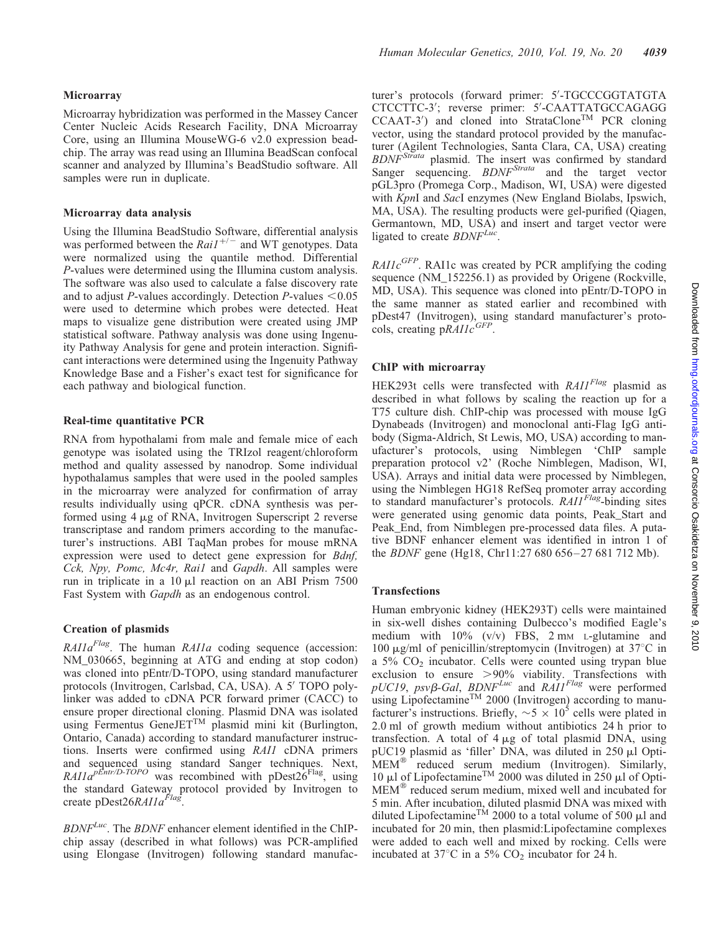## **Microarray**

Microarray hybridization was performed in the Massey Cancer Center Nucleic Acids Research Facility, DNA Microarray Core, using an Illumina MouseWG-6 v2.0 expression beadchip. The array was read using an Illumina BeadScan confocal scanner and analyzed by Illumina's BeadStudio software. All samples were run in duplicate.

## Microarray data analysis

Using the Illumina BeadStudio Software, differential analysis was performed between the  $Rai1^{+/-}$  and WT genotypes. Data were normalized using the quantile method. Differential P-values were determined using the Illumina custom analysis. The software was also used to calculate a false discovery rate and to adjust P-values accordingly. Detection P-values  $< 0.05$ were used to determine which probes were detected. Heat maps to visualize gene distribution were created using JMP statistical software. Pathway analysis was done using Ingenuity Pathway Analysis for gene and protein interaction. Significant interactions were determined using the Ingenuity Pathway Knowledge Base and a Fisher's exact test for significance for each pathway and biological function.

## Real-time quantitative PCR

RNA from hypothalami from male and female mice of each genotype was isolated using the TRIzol reagent/chloroform method and quality assessed by nanodrop. Some individual hypothalamus samples that were used in the pooled samples in the microarray were analyzed for confirmation of array results individually using qPCR. cDNA synthesis was performed using  $4 \mu g$  of RNA, Invitrogen Superscript 2 reverse transcriptase and random primers according to the manufacturer's instructions. ABI TaqMan probes for mouse mRNA expression were used to detect gene expression for Bdnf, Cck, Npy, Pomc, Mc4r, Rai1 and Gapdh. All samples were run in triplicate in a  $10 \mu l$  reaction on an ABI Prism 7500 Fast System with Gapdh as an endogenous control.

## Creation of plasmids

 $RAI1a<sup>Flag</sup>$ . The human  $RAI1a$  coding sequence (accession: NM\_030665, beginning at ATG and ending at stop codon) was cloned into pEntr/D-TOPO, using standard manufacturer protocols (Invitrogen, Carlsbad, CA, USA). A 5′ TOPO polylinker was added to cDNA PCR forward primer (CACC) to ensure proper directional cloning. Plasmid DNA was isolated using Fermentus GeneJET<sup>TM</sup> plasmid mini kit (Burlington, Ontario, Canada) according to standard manufacturer instructions. Inserts were confirmed using RAI1 cDNA primers and sequenced using standard Sanger techniques. Next,  $RAI1a^{pEntr/D-TOPO}$  was recombined with  $pDest26<sup>Flag</sup>$ , using the standard Gateway protocol provided by Invitrogen to create pDest26RAI1a<sup>Flag</sup>.

 $BDNF^{Luc}$ . The  $BDNF$  enhancer element identified in the ChIPchip assay (described in what follows) was PCR-amplified using Elongase (Invitrogen) following standard manufac-

turer's protocols (forward primer: 5′ -TGCCCGGTATGTA CTCCTTC-3′ ; reverse primer: 5′ -CAATTATGCCAGAGG CCAAT-3′) and cloned into StrataClone™ PCR cloning vector, using the standard protocol provided by the manufacturer (Agilent Technologies, Santa Clara, CA, USA) creating  $BDNF^{Strata}$  plasmid. The insert was confirmed by standard Sanger sequencing. *BDNF<sup>Strata</sup>* and the target vector pGL3pro (Promega Corp., Madison, WI, USA) were digested with KpnI and SacI enzymes (New England Biolabs, Ipswich, MA, USA). The resulting products were gel-purified (Qiagen, Germantown, MD, USA) and insert and target vector were ligated to create  $BDNF^{Luc}$ 

 $RAI1c^{GFP}$ . RAI1c was created by PCR amplifying the coding sequence (NM\_152256.1) as provided by Origene (Rockville, MD, USA). This sequence was cloned into pEntr/D-TOPO in the same manner as stated earlier and recombined with pDest47 (Invitrogen), using standard manufacturer's protocols, creating  $pR\overline{AII}c^{GFP}$ .

## ChIP with microarray

HEK293t cells were transfected with  $RAII<sup>Flag</sup>$  plasmid as described in what follows by scaling the reaction up for a T75 culture dish. ChIP-chip was processed with mouse IgG Dynabeads (Invitrogen) and monoclonal anti-Flag IgG antibody (Sigma-Aldrich, St Lewis, MO, USA) according to manufacturer's protocols, using Nimblegen 'ChIP sample preparation protocol v2' (Roche Nimblegen, Madison, WI, USA). Arrays and initial data were processed by Nimblegen, using the Nimblegen HG18 RefSeq promoter array according to standard manufacturer's protocols.  $RAII<sup>Flag</sup>$ -binding sites were generated using genomic data points, Peak\_Start and Peak\_End, from Nimblegen pre-processed data files. A putative BDNF enhancer element was identified in intron 1 of the BDNF gene (Hg18, Chr11:27 680 656–27 681 712 Mb).

#### Transfections

Human embryonic kidney (HEK293T) cells were maintained in six-well dishes containing Dulbecco's modified Eagle's medium with 10% (v/v) FBS, 2 mm L-glutamine and 100  $\mu$ g/ml of penicillin/streptomycin (Invitrogen) at 37<sup>°</sup>C in a  $5\%$  CO<sub>2</sub> incubator. Cells were counted using trypan blue exclusion to ensure  $>90\%$  viability. Transfections with pUC19,  $psv\beta$ -Gal,  $BDNF^{Luc}$  and  $RAI^{Flag}$  were performed using Lipofectamine<sup>TM</sup> 2000 (Invitrogen) according to manufacturer's instructions. Briefly,  $\sim$  5  $\times$  10<sup>5</sup> cells were plated in 2.0 ml of growth medium without antibiotics 24 h prior to transfection. A total of  $4 \mu g$  of total plasmid DNA, using pUC19 plasmid as 'filler' DNA, was diluted in 250 µl Opti- $\text{MEM}^{\circledast}$  reduced serum medium (Invitrogen). Similarly, 10  $\mu$ l of Lipofectamine<sup>TM</sup> 2000 was diluted in 250  $\mu$ l of Opti- $MEM^{\circledR}$  reduced serum medium, mixed well and incubated for 5 min. After incubation, diluted plasmid DNA was mixed with diluted Lipofectamine<sup>TM</sup> 2000 to a total volume of 500  $\mu$ l and incubated for 20 min, then plasmid:Lipofectamine complexes were added to each well and mixed by rocking. Cells were incubated at 37 $\degree$ C in a 5% CO<sub>2</sub> incubator for 24 h.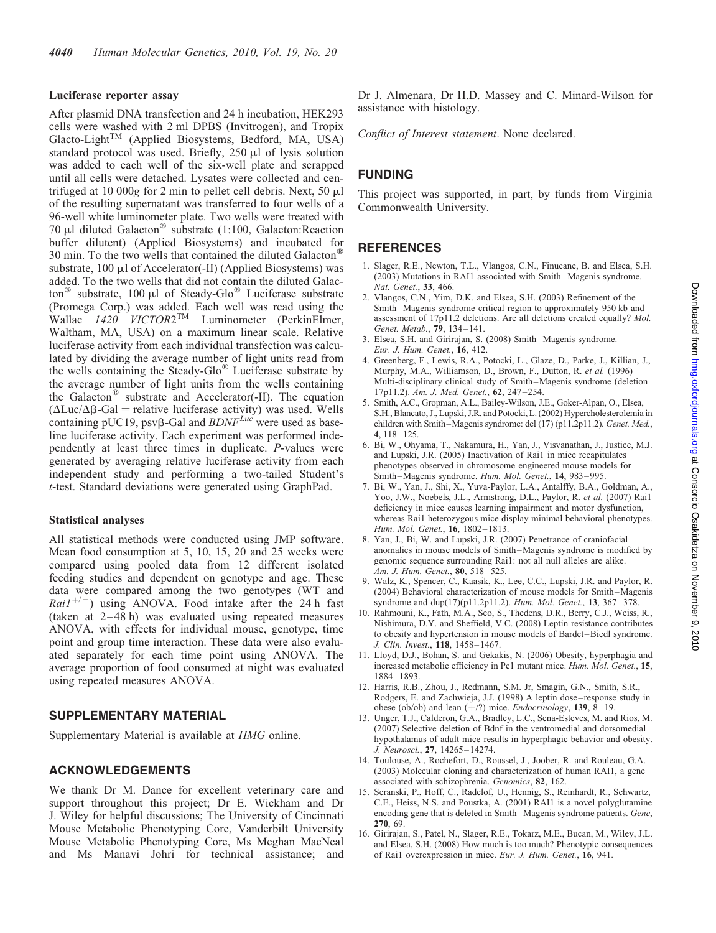## <span id="page-14-0"></span>Luciferase reporter assay

After plasmid DNA transfection and 24 h incubation, HEK293 cells were washed with 2 ml DPBS (Invitrogen), and Tropix Glacto-LightTM (Applied Biosystems, Bedford, MA, USA) standard protocol was used. Briefly,  $250 \mu l$  of lysis solution was added to each well of the six-well plate and scrapped until all cells were detached. Lysates were collected and centrifuged at 10 000g for 2 min to pellet cell debris. Next, 50  $\mu$ l of the resulting supernatant was transferred to four wells of a 96-well white luminometer plate. Two wells were treated with 70  $\mu$ l diluted Galacton<sup>®</sup> substrate (1:100, Galacton:Reaction buffer dilutent) (Applied Biosystems) and incubated for 30 min. To the two wells that contained the diluted Galacton<sup>®</sup> substrate,  $100 \mu l$  of Accelerator(-II) (Applied Biosystems) was added. To the two wells that did not contain the diluted Galacton<sup>®</sup> substrate, 100 µl of Steady-Glo<sup>®</sup> Luciferase substrate (Promega Corp.) was added. Each well was read using the Wallac 1420 VICTOR2<sup>TM</sup> Luminometer (PerkinElmer, Waltham, MA, USA) on a maximum linear scale. Relative luciferase activity from each individual transfection was calculated by dividing the average number of light units read from the wells containing the Steady-Glo<sup>®</sup> Luciferase substrate by the average number of light units from the wells containing the Galacton<sup>®</sup> substrate and Accelerator(-II). The equation  $(\Delta Luc/\Delta \beta - Gal =$  relative luciferase activity) was used. Wells containing pUC19, psv $\beta$ -Gal and *BDNF<sup>Luc'</sup>* were used as baseline luciferase activity. Each experiment was performed independently at least three times in duplicate. P-values were generated by averaging relative luciferase activity from each independent study and performing a two-tailed Student's t-test. Standard deviations were generated using GraphPad.

## Statistical analyses

All statistical methods were conducted using JMP software. Mean food consumption at 5, 10, 15, 20 and 25 weeks were compared using pooled data from 12 different isolated feeding studies and dependent on genotype and age. These data were compared among the two genotypes (WT and  $Rail^{+/-}$ ) using ANOVA. Food intake after the 24 h fast (taken at 2–48 h) was evaluated using repeated measures ANOVA, with effects for individual mouse, genotype, time point and group time interaction. These data were also evaluated separately for each time point using ANOVA. The average proportion of food consumed at night was evaluated using repeated measures ANOVA.

# SUPPLEMENTARY MATERIAL

[Supplementary Material is available at](http://hmg.oxfordjournals.org/cgi/content/full/ddq317/DC1) HMG online.

## ACKNOWLEDGEMENTS

We thank Dr M. Dance for excellent veterinary care and support throughout this project; Dr E. Wickham and Dr J. Wiley for helpful discussions; The University of Cincinnati Mouse Metabolic Phenotyping Core, Vanderbilt University Mouse Metabolic Phenotyping Core, Ms Meghan MacNeal and Ms Manavi Johri for technical assistance; and

Dr J. Almenara, Dr H.D. Massey and C. Minard-Wilson for assistance with histology.

Conflict of Interest statement. None declared.

# FUNDING

This project was supported, in part, by funds from Virginia Commonwealth University.

# **REFERENCES**

- 1. Slager, R.E., Newton, T.L., Vlangos, C.N., Finucane, B. and Elsea, S.H. (2003) Mutations in RAI1 associated with Smith–Magenis syndrome. Nat. Genet., 33, 466.
- 2. Vlangos, C.N., Yim, D.K. and Elsea, S.H. (2003) Refinement of the Smith–Magenis syndrome critical region to approximately 950 kb and assessment of 17p11.2 deletions. Are all deletions created equally? Mol. Genet. Metab., 79, 134–141.
- 3. Elsea, S.H. and Girirajan, S. (2008) Smith–Magenis syndrome. Eur. J. Hum. Genet., 16, 412.
- 4. Greenberg, F., Lewis, R.A., Potocki, L., Glaze, D., Parke, J., Killian, J., Murphy, M.A., Williamson, D., Brown, F., Dutton, R. et al. (1996) Multi-disciplinary clinical study of Smith–Magenis syndrome (deletion 17p11.2). Am. J. Med. Genet., 62, 247–254.
- 5. Smith, A.C., Gropman, A.L., Bailey-Wilson, J.E., Goker-Alpan, O., Elsea, S.H., Blancato, J., Lupski, J.R. and Potocki, L. (2002) Hypercholesterolemia in children with Smith–Magenis syndrome: del (17) (p11.2p11.2). Genet. Med., 4, 118–125.
- 6. Bi, W., Ohyama, T., Nakamura, H., Yan, J., Visvanathan, J., Justice, M.J. and Lupski, J.R. (2005) Inactivation of Rai1 in mice recapitulates phenotypes observed in chromosome engineered mouse models for Smith–Magenis syndrome. Hum. Mol. Genet., 14, 983–995.
- 7. Bi, W., Yan, J., Shi, X., Yuva-Paylor, L.A., Antalffy, B.A., Goldman, A., Yoo, J.W., Noebels, J.L., Armstrong, D.L., Paylor, R. et al. (2007) Rai1 deficiency in mice causes learning impairment and motor dysfunction, whereas Rai1 heterozygous mice display minimal behavioral phenotypes. Hum. Mol. Genet., 16, 1802-1813.
- 8. Yan, J., Bi, W. and Lupski, J.R. (2007) Penetrance of craniofacial anomalies in mouse models of Smith–Magenis syndrome is modified by genomic sequence surrounding Rai1: not all null alleles are alike. Am. J. Hum. Genet., 80, 518–525.
- 9. Walz, K., Spencer, C., Kaasik, K., Lee, C.C., Lupski, J.R. and Paylor, R. (2004) Behavioral characterization of mouse models for Smith–Magenis syndrome and dup(17)(p11.2p11.2). Hum. Mol. Genet., 13, 367-378.
- 10. Rahmouni, K., Fath, M.A., Seo, S., Thedens, D.R., Berry, C.J., Weiss, R., Nishimura, D.Y. and Sheffield, V.C. (2008) Leptin resistance contributes to obesity and hypertension in mouse models of Bardet–Biedl syndrome. J. Clin. Invest., 118, 1458–1467.
- 11. Lloyd, D.J., Bohan, S. and Gekakis, N. (2006) Obesity, hyperphagia and increased metabolic efficiency in Pc1 mutant mice. Hum. Mol. Genet., 15, 1884–1893.
- 12. Harris, R.B., Zhou, J., Redmann, S.M. Jr, Smagin, G.N., Smith, S.R., Rodgers, E. and Zachwieja, J.J. (1998) A leptin dose–response study in obese (ob/ob) and lean  $(+/?)$  mice. *Endocrinology*, 139, 8-19.
- 13. Unger, T.J., Calderon, G.A., Bradley, L.C., Sena-Esteves, M. and Rios, M. (2007) Selective deletion of Bdnf in the ventromedial and dorsomedial hypothalamus of adult mice results in hyperphagic behavior and obesity. J. Neurosci., 27, 14265–14274.
- 14. Toulouse, A., Rochefort, D., Roussel, J., Joober, R. and Rouleau, G.A. (2003) Molecular cloning and characterization of human RAI1, a gene associated with schizophrenia. Genomics, 82, 162.
- 15. Seranski, P., Hoff, C., Radelof, U., Hennig, S., Reinhardt, R., Schwartz, C.E., Heiss, N.S. and Poustka, A. (2001) RAI1 is a novel polyglutamine encoding gene that is deleted in Smith–Magenis syndrome patients. Gene, 270, 69.
- 16. Girirajan, S., Patel, N., Slager, R.E., Tokarz, M.E., Bucan, M., Wiley, J.L. and Elsea, S.H. (2008) How much is too much? Phenotypic consequences of Rai1 overexpression in mice. Eur. J. Hum. Genet., 16, 941.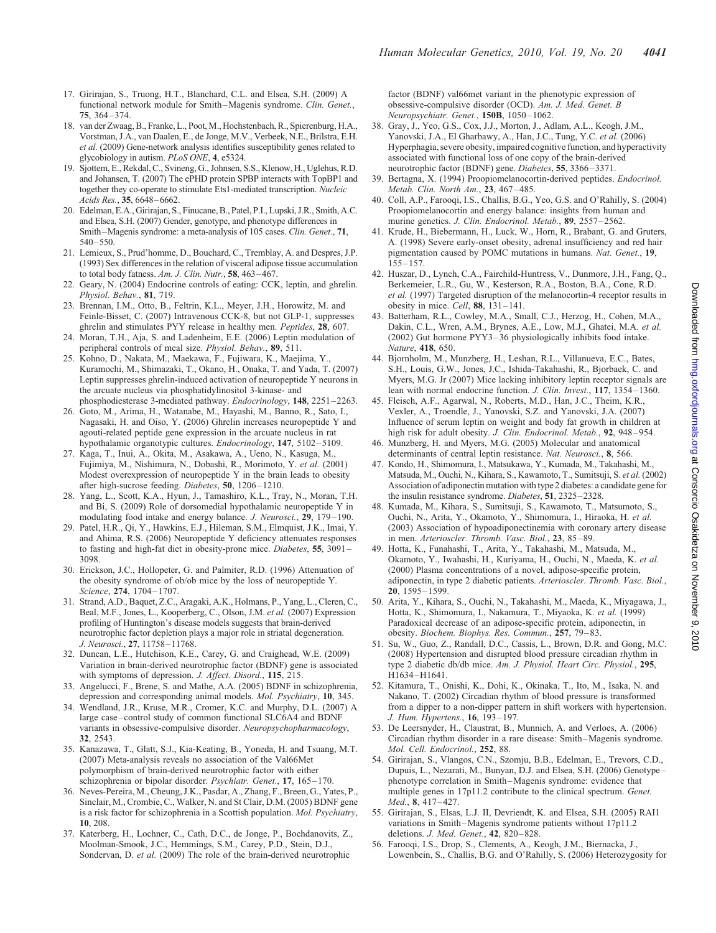- <span id="page-15-0"></span>17. Girirajan, S., Truong, H.T., Blanchard, C.L. and Elsea, S.H. (2009) A functional network module for Smith–Magenis syndrome. Clin. Genet., 75, 364–374.
- 18. van der Zwaag, B., Franke, L., Poot, M., Hochstenbach, R., Spierenburg, H.A., Vorstman, J.A., van Daalen, E., de Jonge, M.V., Verbeek, N.E., Brilstra, E.H. et al. (2009) Gene-network analysis identifies susceptibility genes related to glycobiology in autism. PLoS ONE, 4, e5324.
- 19. Sjottem, E., Rekdal, C., Svineng, G., Johnsen, S.S., Klenow, H., Uglehus, R.D. and Johansen, T. (2007) The ePHD protein SPBP interacts with TopBP1 and together they co-operate to stimulate Ets1-mediated transcription. Nucleic Acids Res., 35, 6648–6662.
- 20. Edelman, E.A., Girirajan, S., Finucane, B., Patel, P.I., Lupski, J.R., Smith, A.C. and Elsea, S.H. (2007) Gender, genotype, and phenotype differences in Smith–Magenis syndrome: a meta-analysis of 105 cases. Clin. Genet., 71, 540–550.
- 21. Lemieux, S., Prud'homme, D., Bouchard, C., Tremblay, A. and Despres, J.P. (1993) Sex differences in the relation of visceral adipose tissue accumulation to total body fatness. Am. J. Clin. Nutr., 58, 463-467.
- 22. Geary, N. (2004) Endocrine controls of eating: CCK, leptin, and ghrelin. Physiol. Behav., 81, 719.
- 23. Brennan, I.M., Otto, B., Feltrin, K.L., Meyer, J.H., Horowitz, M. and Feinle-Bisset, C. (2007) Intravenous CCK-8, but not GLP-1, suppresses ghrelin and stimulates PYY release in healthy men. Peptides, 28, 607.
- 24. Moran, T.H., Aja, S. and Ladenheim, E.E. (2006) Leptin modulation of peripheral controls of meal size. Physiol. Behav., 89, 511.
- 25. Kohno, D., Nakata, M., Maekawa, F., Fujiwara, K., Maejima, Y., Kuramochi, M., Shimazaki, T., Okano, H., Onaka, T. and Yada, T. (2007) Leptin suppresses ghrelin-induced activation of neuropeptide Y neurons in the arcuate nucleus via phosphatidylinositol 3-kinase- and phosphodiesterase 3-mediated pathway. Endocrinology, 148, 2251–2263.
- 26. Goto, M., Arima, H., Watanabe, M., Hayashi, M., Banno, R., Sato, I., Nagasaki, H. and Oiso, Y. (2006) Ghrelin increases neuropeptide Y and agouti-related peptide gene expression in the arcuate nucleus in rat hypothalamic organotypic cultures. Endocrinology, 147, 5102–5109.
- 27. Kaga, T., Inui, A., Okita, M., Asakawa, A., Ueno, N., Kasuga, M., Fujimiya, M., Nishimura, N., Dobashi, R., Morimoto, Y. et al. (2001) Modest overexpression of neuropeptide Y in the brain leads to obesity after high-sucrose feeding. Diabetes, 50, 1206–1210.
- 28. Yang, L., Scott, K.A., Hyun, J., Tamashiro, K.L., Tray, N., Moran, T.H. and Bi, S. (2009) Role of dorsomedial hypothalamic neuropeptide Y in modulating food intake and energy balance. J. Neurosci., 29, 179–190.
- 29. Patel, H.R., Qi, Y., Hawkins, E.J., Hileman, S.M., Elmquist, J.K., Imai, Y. and Ahima, R.S. (2006) Neuropeptide Y deficiency attenuates responses to fasting and high-fat diet in obesity-prone mice. Diabetes, 55, 3091– 3098.
- 30. Erickson, J.C., Hollopeter, G. and Palmiter, R.D. (1996) Attenuation of the obesity syndrome of ob/ob mice by the loss of neuropeptide Y. Science, 274, 1704–1707.
- 31. Strand, A.D., Baquet, Z.C., Aragaki, A.K., Holmans, P., Yang, L., Cleren, C., Beal, M.F., Jones, L., Kooperberg, C., Olson, J.M. et al. (2007) Expression profiling of Huntington's disease models suggests that brain-derived neurotrophic factor depletion plays a major role in striatal degeneration. J. Neurosci., 27, 11758–11768.
- 32. Duncan, L.E., Hutchison, K.E., Carey, G. and Craighead, W.E. (2009) Variation in brain-derived neurotrophic factor (BDNF) gene is associated with symptoms of depression. J. Affect. Disord., 115, 215.
- 33. Angelucci, F., Brene, S. and Mathe, A.A. (2005) BDNF in schizophrenia, depression and corresponding animal models. Mol. Psychiatry, 10, 345.
- 34. Wendland, J.R., Kruse, M.R., Cromer, K.C. and Murphy, D.L. (2007) A large case–control study of common functional SLC6A4 and BDNF variants in obsessive-compulsive disorder. Neuropsychopharmacology, 32, 2543.
- 35. Kanazawa, T., Glatt, S.J., Kia-Keating, B., Yoneda, H. and Tsuang, M.T. (2007) Meta-analysis reveals no association of the Val66Met polymorphism of brain-derived neurotrophic factor with either schizophrenia or bipolar disorder. Psychiatr. Genet., 17, 165–170.
- 36. Neves-Pereira, M., Cheung, J.K., Pasdar, A., Zhang, F., Breen, G., Yates, P., Sinclair, M., Crombie, C., Walker, N. and St Clair, D.M. (2005) BDNF gene is a risk factor for schizophrenia in a Scottish population. Mol. Psychiatry, 10, 208.
- 37. Katerberg, H., Lochner, C., Cath, D.C., de Jonge, P., Bochdanovits, Z., Moolman-Smook, J.C., Hemmings, S.M., Carey, P.D., Stein, D.J., Sondervan, D. et al. (2009) The role of the brain-derived neurotrophic

factor (BDNF) val66met variant in the phenotypic expression of obsessive-compulsive disorder (OCD). Am. J. Med. Genet. B Neuropsychiatr. Genet., 150B, 1050–1062.

- 38. Gray, J., Yeo, G.S., Cox, J.J., Morton, J., Adlam, A.L., Keogh, J.M., Yanovski, J.A., El Gharbawy, A., Han, J.C., Tung, Y.C. et al. (2006) Hyperphagia, severe obesity, impaired cognitive function, and hyperactivity associated with functional loss of one copy of the brain-derived neurotrophic factor (BDNF) gene. Diabetes, 55, 3366–3371.
- 39. Bertagna, X. (1994) Proopiomelanocortin-derived peptides. Endocrinol. Metab. Clin. North Am., 23, 467–485.
- 40. Coll, A.P., Farooqi, I.S., Challis, B.G., Yeo, G.S. and O'Rahilly, S. (2004) Proopiomelanocortin and energy balance: insights from human and murine genetics. J. Clin. Endocrinol. Metab., 89, 2557–2562.
- 41. Krude, H., Biebermann, H., Luck, W., Horn, R., Brabant, G. and Gruters, A. (1998) Severe early-onset obesity, adrenal insufficiency and red hair pigmentation caused by POMC mutations in humans. Nat. Genet., 19, 155–157.
- 42. Huszar, D., Lynch, C.A., Fairchild-Huntress, V., Dunmore, J.H., Fang, Q., Berkemeier, L.R., Gu, W., Kesterson, R.A., Boston, B.A., Cone, R.D. et al. (1997) Targeted disruption of the melanocortin-4 receptor results in obesity in mice. Cell,  $88$ ,  $131-141$ .
- 43. Batterham, R.L., Cowley, M.A., Small, C.J., Herzog, H., Cohen, M.A., Dakin, C.L., Wren, A.M., Brynes, A.E., Low, M.J., Ghatei, M.A. et al. (2002) Gut hormone PYY3–36 physiologically inhibits food intake. Nature, 418, 650.
- 44. Bjornholm, M., Munzberg, H., Leshan, R.L., Villanueva, E.C., Bates, S.H., Louis, G.W., Jones, J.C., Ishida-Takahashi, R., Bjorbaek, C. and Myers, M.G. Jr (2007) Mice lacking inhibitory leptin receptor signals are lean with normal endocrine function. J. Clin. Invest., 117, 1354–1360.
- 45. Fleisch, A.F., Agarwal, N., Roberts, M.D., Han, J.C., Theim, K.R., Vexler, A., Troendle, J., Yanovski, S.Z. and Yanovski, J.A. (2007) Influence of serum leptin on weight and body fat growth in children at high risk for adult obesity. J. Clin. Endocrinol. Metab., 92, 948–954.
- 46. Munzberg, H. and Myers, M.G. (2005) Molecular and anatomical determinants of central leptin resistance. Nat. Neurosci., 8, 566.
- 47. Kondo, H., Shimomura, I., Matsukawa, Y., Kumada, M., Takahashi, M., Matsuda, M., Ouchi, N., Kihara, S., Kawamoto, T., Sumitsuji, S. et al. (2002) Association of adiponectin mutation with type 2 diabetes: a candidate gene for the insulin resistance syndrome. Diabetes, 51, 2325–2328.
- 48. Kumada, M., Kihara, S., Sumitsuji, S., Kawamoto, T., Matsumoto, S., Ouchi, N., Arita, Y., Okamoto, Y., Shimomura, I., Hiraoka, H. et al. (2003) Association of hypoadiponectinemia with coronary artery disease in men. Arterioscler. Thromb. Vasc. Biol., 23, 85–89.
- 49. Hotta, K., Funahashi, T., Arita, Y., Takahashi, M., Matsuda, M., Okamoto, Y., Iwahashi, H., Kuriyama, H., Ouchi, N., Maeda, K. et al. (2000) Plasma concentrations of a novel, adipose-specific protein, adiponectin, in type 2 diabetic patients. Arterioscler. Thromb. Vasc. Biol., 20, 1595–1599.
- 50. Arita, Y., Kihara, S., Ouchi, N., Takahashi, M., Maeda, K., Miyagawa, J., Hotta, K., Shimomura, I., Nakamura, T., Miyaoka, K. et al. (1999) Paradoxical decrease of an adipose-specific protein, adiponectin, in obesity. Biochem. Biophys. Res. Commun., 257, 79–83.
- 51. Su, W., Guo, Z., Randall, D.C., Cassis, L., Brown, D.R. and Gong, M.C. (2008) Hypertension and disrupted blood pressure circadian rhythm in type 2 diabetic db/db mice. Am. J. Physiol. Heart Circ. Physiol., 295, H1634–H1641.
- 52. Kitamura, T., Onishi, K., Dohi, K., Okinaka, T., Ito, M., Isaka, N. and Nakano, T. (2002) Circadian rhythm of blood pressure is transformed from a dipper to a non-dipper pattern in shift workers with hypertension. J. Hum. Hypertens., 16, 193–197.
- 53. De Leersnyder, H., Claustrat, B., Munnich, A. and Verloes, A. (2006) Circadian rhythm disorder in a rare disease: Smith–Magenis syndrome. Mol. Cell. Endocrinol., 252, 88.
- 54. Girirajan, S., Vlangos, C.N., Szomju, B.B., Edelman, E., Trevors, C.D., Dupuis, L., Nezarati, M., Bunyan, D.J. and Elsea, S.H. (2006) Genotype– phenotype correlation in Smith–Magenis syndrome: evidence that multiple genes in 17p11.2 contribute to the clinical spectrum. Genet. Med., 8, 417–427.
- 55. Girirajan, S., Elsas, L.J. II, Devriendt, K. and Elsea, S.H. (2005) RAI1 variations in Smith–Magenis syndrome patients without 17p11.2 deletions. J. Med. Genet., 42, 820–828.
- 56. Farooqi, I.S., Drop, S., Clements, A., Keogh, J.M., Biernacka, J., Lowenbein, S., Challis, B.G. and O'Rahilly, S. (2006) Heterozygosity for